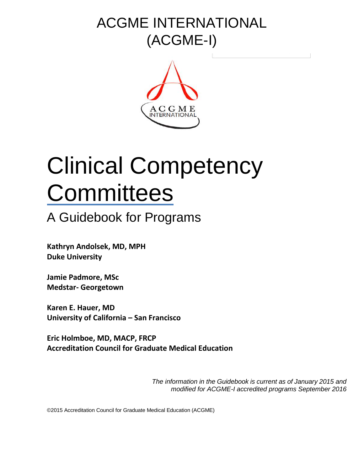# ACGME INTERNATIONAL (ACGME-I)



# Clinical Competency **Committees**

# A Guidebook for Programs

**Kathryn Andolsek, MD, MPH Duke University**

**Jamie Padmore, MSc Medstar- Georgetown**

**Karen E. Hauer, MD University of California – San Francisco**

**Eric Holmboe, MD, MACP, FRCP Accreditation Council for Graduate Medical Education**

> *The information in the Guidebook is current as of January 2015 and modified for ACGME-I accredited programs September 2016*

©2015 Accreditation Council for Graduate Medical Education (ACGME)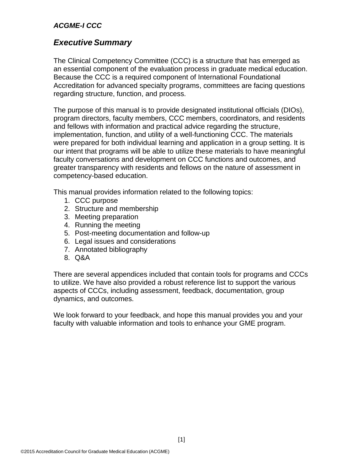# *Executive Summary*

The Clinical Competency Committee (CCC) is a structure that has emerged as an essential component of the evaluation process in graduate medical education. Because the CCC is a required component of International Foundational Accreditation for advanced specialty programs, committees are facing questions regarding structure, function, and process.

The purpose of this manual is to provide designated institutional officials (DIOs), program directors, faculty members, CCC members, coordinators, and residents and fellows with information and practical advice regarding the structure, implementation, function, and utility of a well-functioning CCC. The materials were prepared for both individual learning and application in a group setting. It is our intent that programs will be able to utilize these materials to have meaningful faculty conversations and development on CCC functions and outcomes, and greater transparency with residents and fellows on the nature of assessment in competency-based education.

This manual provides information related to the following topics:

- 1. CCC purpose
- 2. Structure and membership
- 3. Meeting preparation
- 4. Running the meeting
- 5. Post-meeting documentation and follow-up
- 6. Legal issues and considerations
- 7. Annotated bibliography
- 8. Q&A

There are several appendices included that contain tools for programs and CCCs to utilize. We have also provided a robust reference list to support the various aspects of CCCs, including assessment, feedback, documentation, group dynamics, and outcomes.

We look forward to your feedback, and hope this manual provides you and your faculty with valuable information and tools to enhance your GME program.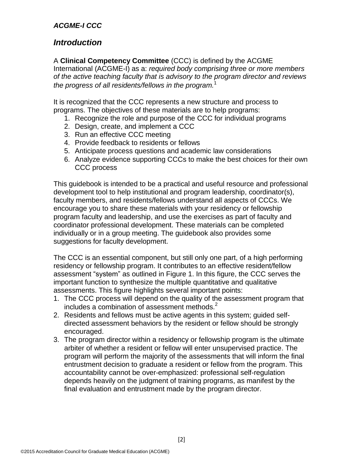# *Introduction*

A **Clinical Competency Committee** (CCC) is defined by the ACGME International (ACGME-I) as a: *required body comprising three or more members of the active teaching faculty that is advisory to the program director and reviews the progress of all residents/fellows in the program.* 1

It is recognized that the CCC represents a new structure and process to programs. The objectives of these materials are to help programs:

- 1. Recognize the role and purpose of the CCC for individual programs
- 2. Design, create, and implement a CCC
- 3. Run an effective CCC meeting
- 4. Provide feedback to residents or fellows
- 5. Anticipate process questions and academic law considerations
- 6. Analyze evidence supporting CCCs to make the best choices for their own CCC process

This guidebook is intended to be a practical and useful resource and professional development tool to help institutional and program leadership, coordinator(s), faculty members, and residents/fellows understand all aspects of CCCs. We encourage you to share these materials with your residency or fellowship program faculty and leadership, and use the exercises as part of faculty and coordinator professional development. These materials can be completed individually or in a group meeting. The guidebook also provides some suggestions for faculty development.

The CCC is an essential component, but still only one part, of a high performing residency or fellowship program. It contributes to an effective resident/fellow assessment "system" as outlined in Figure 1. In this figure, the CCC serves the important function to synthesize the multiple quantitative and qualitative assessments. This figure highlights several important points:

- 1. The CCC process will depend on the quality of the assessment program that includes a combination of assessment methods.<sup>2</sup>
- 2. Residents and fellows must be active agents in this system; guided selfdirected assessment behaviors by the resident or fellow should be strongly encouraged.
- 3. The program director within a residency or fellowship program is the ultimate arbiter of whether a resident or fellow will enter unsupervised practice. The program will perform the majority of the assessments that will inform the final entrustment decision to graduate a resident or fellow from the program. This accountability cannot be over-emphasized: professional self-regulation depends heavily on the judgment of training programs, as manifest by the final evaluation and entrustment made by the program director.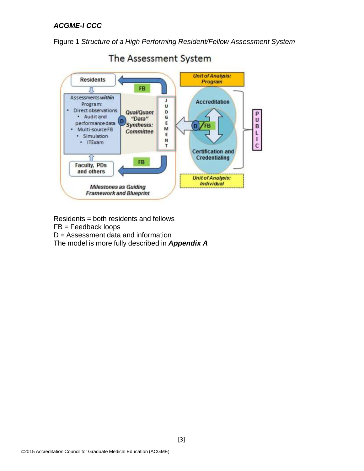Figure 1 *Structure of a High Performing Resident/Fellow Assessment System*



The Assessment System

Residents = both residents and fellows

FB = Feedback loops

D = Assessment data and information

The model is more fully described in *Appendix A*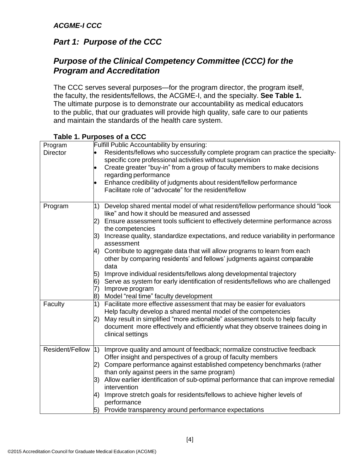# *Part 1: Purpose of the CCC*

# *Purpose of the Clinical Competency Committee (CCC) for the Program and Accreditation*

The CCC serves several purposes—for the program director, the program itself, the faculty, the residents/fellows, the ACGME-I, and the specialty. **See Table 1.**  The ultimate purpose is to demonstrate our accountability as medical educators to the public, that our graduates will provide high quality, safe care to our patients and maintain the standards of the health care system.

| Program<br><b>Director</b> | Fulfill Public Accountability by ensuring:<br>Residents/fellows who successfully complete program can practice the specialty-<br>specific core professional activities without supervision<br>Create greater "buy-in" from a group of faculty members to make decisions<br>regarding performance<br>Enhance credibility of judgments about resident/fellow performance<br>Facilitate role of "advocate" for the resident/fellow |
|----------------------------|---------------------------------------------------------------------------------------------------------------------------------------------------------------------------------------------------------------------------------------------------------------------------------------------------------------------------------------------------------------------------------------------------------------------------------|
| Program                    | Develop shared mental model of what resident/fellow performance should "look<br>$\vert$ 1)<br>like" and how it should be measured and assessed<br>Ensure assessment tools sufficient to effectively determine performance across<br>2)                                                                                                                                                                                          |
|                            | the competencies                                                                                                                                                                                                                                                                                                                                                                                                                |
|                            | 3)<br>Increase quality, standardize expectations, and reduce variability in performance<br>assessment                                                                                                                                                                                                                                                                                                                           |
|                            | Contribute to aggregate data that will allow programs to learn from each<br>4)<br>other by comparing residents' and fellows' judgments against comparable<br>data                                                                                                                                                                                                                                                               |
|                            | 5)<br>Improve individual residents/fellows along developmental trajectory                                                                                                                                                                                                                                                                                                                                                       |
|                            | Serve as system for early identification of residents/fellows who are challenged<br>6)<br>Improve program<br>7)                                                                                                                                                                                                                                                                                                                 |
|                            | Model "real time" faculty development<br>8)                                                                                                                                                                                                                                                                                                                                                                                     |
| Faculty                    | Facilitate more effective assessment that may be easier for evaluators<br>1)<br>Help faculty develop a shared mental model of the competencies                                                                                                                                                                                                                                                                                  |
|                            | May result in simplified "more actionable" assessment tools to help faculty<br>2)<br>document more effectively and efficiently what they observe trainees doing in<br>clinical settings                                                                                                                                                                                                                                         |
| Resident/Fellow            | Improve quality and amount of feedback; normalize constructive feedback<br>$\vert$ 1)<br>Offer insight and perspectives of a group of faculty members                                                                                                                                                                                                                                                                           |
|                            | Compare performance against established competency benchmarks (rather<br>2)<br>than only against peers in the same program)                                                                                                                                                                                                                                                                                                     |
|                            | Allow earlier identification of sub-optimal performance that can improve remedial<br>3)<br>intervention                                                                                                                                                                                                                                                                                                                         |
|                            | Improve stretch goals for residents/fellows to achieve higher levels of<br>4)<br>performance                                                                                                                                                                                                                                                                                                                                    |
|                            | Provide transparency around performance expectations<br>5)                                                                                                                                                                                                                                                                                                                                                                      |

# **Table 1. Purposes of a CCC**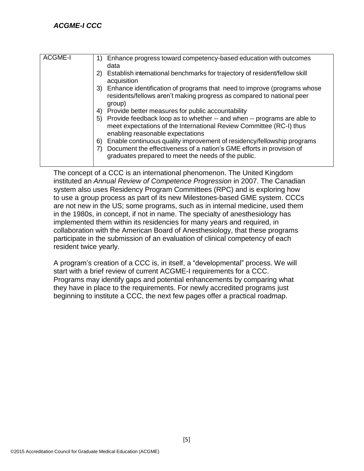| <b>ACGME-I</b> | 1) Enhance progress toward competency-based education with outcomes<br>data                                                                                                           |
|----------------|---------------------------------------------------------------------------------------------------------------------------------------------------------------------------------------|
|                | 2) Establish international benchmarks for trajectory of resident/fellow skill<br>acquisition                                                                                          |
|                | 3) Enhance identification of programs that need to improve (programs whose<br>residents/fellows aren't making progress as compared to national peer<br>group)                         |
|                | 4) Provide better measures for public accountability                                                                                                                                  |
|                | 5) Provide feedback loop as to whether -- and when -- programs are able to<br>meet expectations of the International Review Committee (RC-I) thus<br>enabling reasonable expectations |
|                | 6) Enable continuous quality improvement of residency/fellowship programs                                                                                                             |
|                | Document the effectiveness of a nation's GME efforts in provision of<br>graduates prepared to meet the needs of the public.                                                           |

The concept of a CCC is an international phenomenon. The United Kingdom instituted an *Annual Review of Competence Progression* in 2007. The Canadian system also uses Residency Program Committees (RPC) and is exploring how to use a group process as part of its new Milestones-based GME system. CCCs are not new in the US; some programs, such as in internal medicine, used them in the 1980s, in concept, if not in name. The specialty of anesthesiology has implemented them within its residencies for many years and required, in collaboration with the American Board of Anesthesiology, that these programs participate in the submission of an evaluation of clinical competency of each resident twice yearly.

A program's creation of a CCC is, in itself, a "developmental" process. We will start with a brief review of current ACGME-I requirements for a CCC. Programs may identify gaps and potential enhancements by comparing what they have in place to the requirements. For newly accredited programs just beginning to institute a CCC, the next few pages offer a practical roadmap.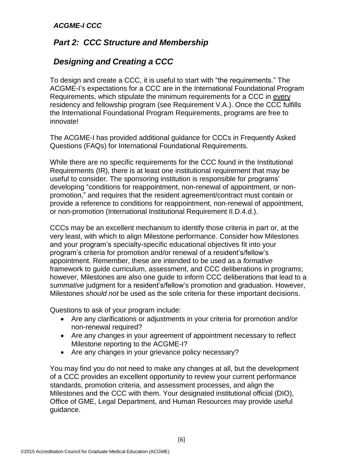# *Part 2: CCC Structure and Membership*

# *Designing and Creating a CCC*

To design and create a CCC, it is useful to start with "the requirements." The ACGME-I's expectations for a CCC are in the International Foundational Program Requirements, which stipulate the minimum requirements for a CCC in every residency and fellowship program (see Requirement V.A.). Once the CCC fulfills the International Foundational Program Requirements, programs are free to innovate!

The ACGME-I has provided additional guidance for CCCs in Frequently Asked Questions (FAQs) for International Foundational Requirements.

While there are no specific requirements for the CCC found in the Institutional Requirements (IR), there is at least one institutional requirement that may be useful to consider. The sponsoring institution is responsible for programs' developing "conditions for reappointment, non-renewal of appointment, or nonpromotion," and requires that the resident agreement/contract must contain or provide a reference to conditions for reappointment, non-renewal of appointment, or non-promotion (International Institutional Requirement II.D.4.d.).

CCCs may be an excellent mechanism to identify those criteria in part or, at the very least, with which to align Milestone performance. Consider how Milestones and your program's specialty-specific educational objectives fit into your program's criteria for promotion and/or renewal of a resident's/fellow's appointment. Remember, these are intended to be used as a *formative*  framework to guide curriculum, assessment, and CCC deliberations in programs; however, Milestones are also one guide to inform CCC deliberations that lead to a *summative* judgment for a resident's/fellow's promotion and graduation. However, Milestones *should not* be used as the sole criteria for these important decisions.

Questions to ask of your program include:

- Are any clarifications or adjustments in your criteria for promotion and/or non-renewal required?
- Are any changes in your agreement of appointment necessary to reflect Milestone reporting to the ACGME-I?
- Are any changes in your grievance policy necessary?

You may find you do not need to make any changes at all, but the development of a CCC provides an excellent opportunity to review your current performance standards, promotion criteria, and assessment processes, and align the Milestones and the CCC with them. Your designated institutional official (DIO), Office of GME, Legal Department, and Human Resources may provide useful guidance.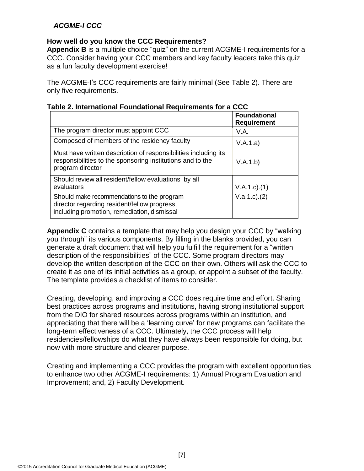#### **How well do you know the CCC Requirements?**

**Appendix B** is a multiple choice "quiz" on the current ACGME-I requirements for a CCC. Consider having your CCC members and key faculty leaders take this quiz as a fun faculty development exercise!

The ACGME-I's CCC requirements are fairly minimal (See Table 2). There are only five requirements.

|                                                                                                                                                   | <b>Foundational</b><br><b>Requirement</b> |
|---------------------------------------------------------------------------------------------------------------------------------------------------|-------------------------------------------|
| The program director must appoint CCC                                                                                                             | V.A.                                      |
| Composed of members of the residency faculty                                                                                                      | V.A.1.a)                                  |
| Must have written description of responsibilities including its<br>responsibilities to the sponsoring institutions and to the<br>program director | V.A.1.b)                                  |
| Should review all resident/fellow evaluations by all<br>evaluators                                                                                | $V.A.1.c$ . $(1)$                         |
| Should make recommendations to the program<br>director regarding resident/fellow progress,<br>including promotion, remediation, dismissal         | V.a.1.c.2)                                |

|  | Table 2. International Foundational Requirements for a CCC |  |
|--|------------------------------------------------------------|--|
|  |                                                            |  |

**Appendix C** contains a template that may help you design your CCC by "walking you through" its various components. By filling in the blanks provided, you can generate a draft document that will help you fulfill the requirement for a "written description of the responsibilities" of the CCC. Some program directors may develop the written description of the CCC on their own. Others will ask the CCC to create it as one of its initial activities as a group, or appoint a subset of the faculty. The template provides a checklist of items to consider.

Creating, developing, and improving a CCC does require time and effort. Sharing best practices across programs and institutions, having strong institutional support from the DIO for shared resources across programs within an institution, and appreciating that there will be a 'learning curve' for new programs can facilitate the long-term effectiveness of a CCC. Ultimately, the CCC process will help residencies/fellowships do what they have always been responsible for doing, but now with more structure and clearer purpose.

Creating and implementing a CCC provides the program with excellent opportunities to enhance two other ACGME-I requirements: 1) Annual Program Evaluation and Improvement; and, 2) Faculty Development.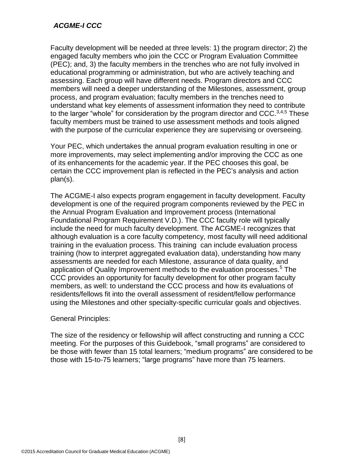Faculty development will be needed at three levels: 1) the program director; 2) the engaged faculty members who join the CCC or Program Evaluation Committee (PEC); and, 3) the faculty members in the trenches who are not fully involved in educational programming or administration, but who are actively teaching and assessing. Each group will have different needs. Program directors and CCC members will need a deeper understanding of the Milestones, assessment, group process, and program evaluation; faculty members in the trenches need to understand what key elements of assessment information they need to contribute to the larger "whole" for consideration by the program director and CCC. $3,4,5$  These faculty members must be trained to use assessment methods and tools aligned with the purpose of the curricular experience they are supervising or overseeing.

Your PEC, which undertakes the annual program evaluation resulting in one or more improvements, may select implementing and/or improving the CCC as one of its enhancements for the academic year. If the PEC chooses this goal, be certain the CCC improvement plan is reflected in the PEC's analysis and action plan(s).

The ACGME-I also expects program engagement in faculty development. Faculty development is one of the required program components reviewed by the PEC in the Annual Program Evaluation and Improvement process (International Foundational Program Requirement V.D.). The CCC faculty role will typically include the need for much faculty development. The ACGME-I recognizes that although evaluation is a core faculty competency, most faculty will need additional training in the evaluation process. This training can include evaluation process training (how to interpret aggregated evaluation data), understanding how many assessments are needed for each Milestone, assurance of data quality, and application of Quality Improvement methods to the evaluation processes.<sup>5</sup> The CCC provides an opportunity for faculty development for other program faculty members, as well: to understand the CCC process and how its evaluations of residents/fellows fit into the overall assessment of resident/fellow performance using the Milestones and other specialty-specific curricular goals and objectives.

#### General Principles:

The size of the residency or fellowship will affect constructing and running a CCC meeting. For the purposes of this Guidebook, "small programs" are considered to be those with fewer than 15 total learners; "medium programs" are considered to be those with 15-to-75 learners; "large programs" have more than 75 learners.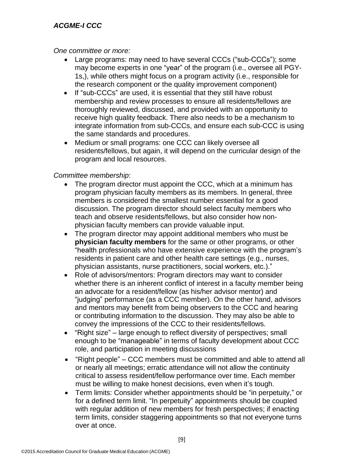#### *One committee or more:*

- Large programs: may need to have several CCCs ("sub-CCCs"); some may become experts in one "year" of the program (i.e., oversee all PGY-1s,), while others might focus on a program activity (i.e., responsible for the research component or the quality improvement component)
- If "sub-CCCs" are used, it is essential that they still have robust membership and review processes to ensure all residents/fellows are thoroughly reviewed, discussed, and provided with an opportunity to receive high quality feedback. There also needs to be a mechanism to integrate information from sub-CCCs, and ensure each sub-CCC is using the same standards and procedures.
- Medium or small programs: one CCC can likely oversee all residents/fellows, but again, it will depend on the curricular design of the program and local resources.

#### *Committee membership*:

- The program director must appoint the CCC, which at a minimum has program physician faculty members as its members. In general, three members is considered the smallest number essential for a good discussion. The program director should select faculty members who teach and observe residents/fellows, but also consider how nonphysician faculty members can provide valuable input.
- The program director may appoint additional members who must be **physician faculty members** for the same or other programs, or other "health professionals who have extensive experience with the program's residents in patient care and other health care settings (e.g., nurses, physician assistants, nurse practitioners, social workers, etc.)."
- Role of advisors/mentors: Program directors may want to consider whether there is an inherent conflict of interest in a faculty member being an advocate for a resident/fellow (as his/her advisor mentor) and "judging" performance (as a CCC member). On the other hand, advisors and mentors may benefit from being observers to the CCC and hearing or contributing information to the discussion. They may also be able to convey the impressions of the CCC to their residents/fellows.
- "Right size" large enough to reflect diversity of perspectives; small enough to be "manageable" in terms of faculty development about CCC role, and participation in meeting discussions
- "Right people" CCC members must be committed and able to attend all or nearly all meetings; erratic attendance will not allow the continuity critical to assess resident/fellow performance over time. Each member must be willing to make honest decisions, even when it's tough.
- Term limits: Consider whether appointments should be "in perpetuity," or for a defined term limit. "In perpetuity" appointments should be coupled with regular addition of new members for fresh perspectives; if enacting term limits, consider staggering appointments so that not everyone turns over at once.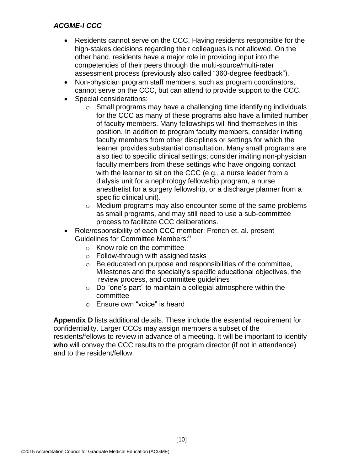- Residents cannot serve on the CCC. Having residents responsible for the high-stakes decisions regarding their colleagues is not allowed. On the other hand, residents have a major role in providing input into the competencies of their peers through the multi-source/multi-rater assessment process (previously also called "360-degree feedback").
- Non-physician program staff members, such as program coordinators, cannot serve on the CCC, but can attend to provide support to the CCC.
- Special considerations:
	- o Small programs may have a challenging time identifying individuals for the CCC as many of these programs also have a limited number of faculty members. Many fellowships will find themselves in this position. In addition to program faculty members, consider inviting faculty members from other disciplines or settings for which the learner provides substantial consultation. Many small programs are also tied to specific clinical settings; consider inviting non-physician faculty members from these settings who have ongoing contact with the learner to sit on the CCC (e.g., a nurse leader from a dialysis unit for a nephrology fellowship program, a nurse anesthetist for a surgery fellowship, or a discharge planner from a specific clinical unit).
	- o Medium programs may also encounter some of the same problems as small programs, and may still need to use a sub-committee process to facilitate CCC deliberations.
- Role/responsibility of each CCC member: French et. al. present Guidelines for Committee Members: 6
	- $\circ$  Know role on the committee
	- $\circ$  Follow-through with assigned tasks
	- o Be educated on purpose and responsibilities of the committee, Milestones and the specialty's specific educational objectives, the review process, and committee guidelines
	- $\circ$  Do "one's part" to maintain a collegial atmosphere within the committee
	- o Ensure own "voice" is heard

**Appendix D** lists additional details. These include the essential requirement for confidentiality. Larger CCCs may assign members a subset of the residents/fellows to review in advance of a meeting. It will be important to identify **who** will convey the CCC results to the program director (if not in attendance) and to the resident/fellow.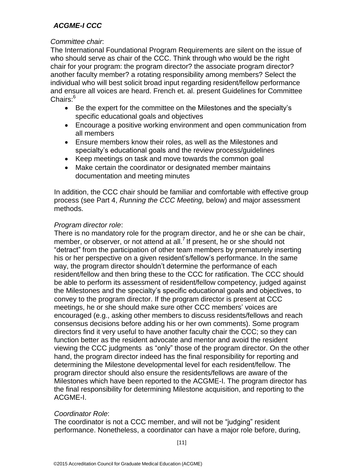#### *Committee chair*:

The International Foundational Program Requirements are silent on the issue of who should serve as chair of the CCC. Think through who would be the right chair for your program: the program director? the associate program director? another faculty member? a rotating responsibility among members? Select the individual who will best solicit broad input regarding resident/fellow performance and ensure all voices are heard. French et. al. present Guidelines for Committee Chairs:<sup>6</sup>

- Be the expert for the committee on the Milestones and the specialty's specific educational goals and objectives
- Encourage a positive working environment and open communication from all members
- Ensure members know their roles, as well as the Milestones and specialty's educational goals and the review process/guidelines
- Keep meetings on task and move towards the common goal
- Make certain the coordinator or designated member maintains documentation and meeting minutes

In addition, the CCC chair should be familiar and comfortable with effective group process (see Part 4, *Running the CCC Meeting,* below) and major assessment methods.

# *Program director role*:

There is no mandatory role for the program director, and he or she can be chair, member, or observer, or not attend at all.<sup>7</sup> If present, he or she should not "detract" from the participation of other team members by prematurely inserting his or her perspective on a given resident's/fellow's performance. In the same way, the program director shouldn't determine the performance of each resident/fellow and then bring these to the CCC for ratification. The CCC should be able to perform its assessment of resident/fellow competency, judged against the Milestones and the specialty's specific educational goals and objectives, to convey to the program director. If the program director is present at CCC meetings, he or she should make sure other CCC members' voices are encouraged (e.g., asking other members to discuss residents/fellows and reach consensus decisions before adding his or her own comments). Some program directors find it very useful to have another faculty chair the CCC; so they can function better as the resident advocate and mentor and avoid the resident viewing the CCC judgments as "only" those of the program director. On the other hand, the program director indeed has the final responsibility for reporting and determining the Milestone developmental level for each resident/fellow. The program director should also ensure the residents/fellows are aware of the Milestones which have been reported to the ACGME-I. The program director has the final responsibility for determining Milestone acquisition, and reporting to the ACGME-I.

# *Coordinator Role*:

The coordinator is not a CCC member, and will not be "judging" resident performance. Nonetheless, a coordinator can have a major role before, during,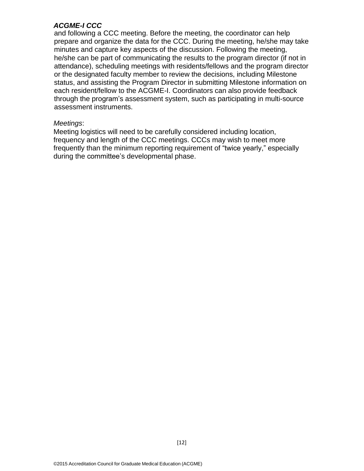and following a CCC meeting. Before the meeting, the coordinator can help prepare and organize the data for the CCC. During the meeting, he/she may take minutes and capture key aspects of the discussion. Following the meeting, he/she can be part of communicating the results to the program director (if not in attendance), scheduling meetings with residents/fellows and the program director or the designated faculty member to review the decisions, including Milestone status, and assisting the Program Director in submitting Milestone information on each resident/fellow to the ACGME-I. Coordinators can also provide feedback through the program's assessment system, such as participating in multi-source assessment instruments.

#### *Meetings*:

Meeting logistics will need to be carefully considered including location, frequency and length of the CCC meetings. CCCs may wish to meet more frequently than the minimum reporting requirement of "twice yearly," especially during the committee's developmental phase.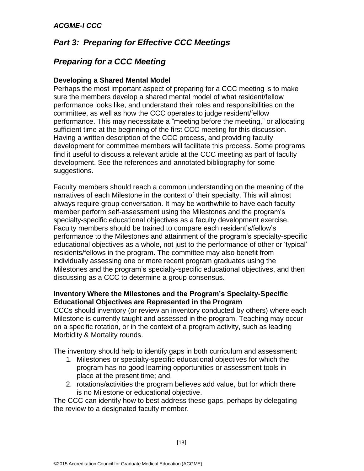# *Part 3: Preparing for Effective CCC Meetings*

# *Preparing for a CCC Meeting*

#### **Developing a Shared Mental Model**

Perhaps the most important aspect of preparing for a CCC meeting is to make sure the members develop a shared mental model of what resident/fellow performance looks like, and understand their roles and responsibilities on the committee, as well as how the CCC operates to judge resident/fellow performance. This may necessitate a "meeting before the meeting," or allocating sufficient time at the beginning of the first CCC meeting for this discussion. Having a written description of the CCC process, and providing faculty development for committee members will facilitate this process. Some programs find it useful to discuss a relevant article at the CCC meeting as part of faculty development. See the references and annotated bibliography for some suggestions.

Faculty members should reach a common understanding on the meaning of the narratives of each Milestone in the context of their specialty. This will almost always require group conversation. It may be worthwhile to have each faculty member perform self-assessment using the Milestones and the program's specialty-specific educational objectives as a faculty development exercise. Faculty members should be trained to compare each resident's/fellow's performance to the Milestones and attainment of the program's specialty-specific educational objectives as a whole, not just to the performance of other or 'typical' residents/fellows in the program. The committee may also benefit from individually assessing one or more recent program graduates using the Milestones and the program's specialty-specific educational objectives, and then discussing as a CCC to determine a group consensus.

#### **Inventory Where the Milestones and the Program's Specialty-Specific Educational Objectives are Represented in the Program**

CCCs should inventory (or review an inventory conducted by others) where each Milestone is currently taught and assessed in the program. Teaching may occur on a specific rotation, or in the context of a program activity, such as leading Morbidity & Mortality rounds.

The inventory should help to identify gaps in both curriculum and assessment:

- 1. Milestones or specialty-specific educational objectives for which the program has no good learning opportunities or assessment tools in place at the present time; and,
- 2. rotations/activities the program believes add value, but for which there is no Milestone or educational objective.

The CCC can identify how to best address these gaps, perhaps by delegating the review to a designated faculty member.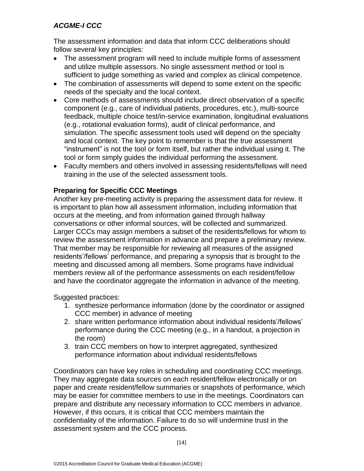The assessment information and data that inform CCC deliberations should follow several key principles:

- The assessment program will need to include multiple forms of assessment and utilize multiple assessors. No single assessment method or tool is sufficient to judge something as varied and complex as clinical competence.
- The combination of assessments will depend to some extent on the specific needs of the specialty and the local context.
- Core methods of assessments should include direct observation of a specific component (e.g., care of individual patients, procedures, etc.), multi-source feedback, multiple choice test/in-service examination, longitudinal evaluations (e.g., rotational evaluation forms), audit of clinical performance, and simulation. The specific assessment tools used will depend on the specialty and local context. The key point to remember is that the true assessment "instrument" is not the tool or form itself, but rather the individual using it. The tool or form simply guides the individual performing the assessment.
- Faculty members and others involved in assessing residents/fellows will need training in the use of the selected assessment tools.

# **Preparing for Specific CCC Meetings**

Another key pre-meeting activity is preparing the assessment data for review. It is important to plan how all assessment information, including information that occurs at the meeting, and from information gained through hallway conversations or other informal sources, will be collected and summarized. Larger CCCs may assign members a subset of the residents/fellows for whom to review the assessment information in advance and prepare a preliminary review. That member may be responsible for reviewing all measures of the assigned residents'/fellows' performance, and preparing a synopsis that is brought to the meeting and discussed among all members. Some programs have individual members review all of the performance assessments on each resident/fellow and have the coordinator aggregate the information in advance of the meeting.

Suggested practices:

- 1. synthesize performance information (done by the coordinator or assigned CCC member) in advance of meeting
- 2. share written performance information about individual residents'/fellows' performance during the CCC meeting (e.g., in a handout, a projection in the room)
- 3. train CCC members on how to interpret aggregated, synthesized performance information about individual residents/fellows

Coordinators can have key roles in scheduling and coordinating CCC meetings. They may aggregate data sources on each resident/fellow electronically or on paper and create resident/fellow summaries or snapshots of performance, which may be easier for committee members to use in the meetings. Coordinators can prepare and distribute any necessary information to CCC members in advance. However, if this occurs, it is critical that CCC members maintain the confidentiality of the information. Failure to do so will undermine trust in the assessment system and the CCC process.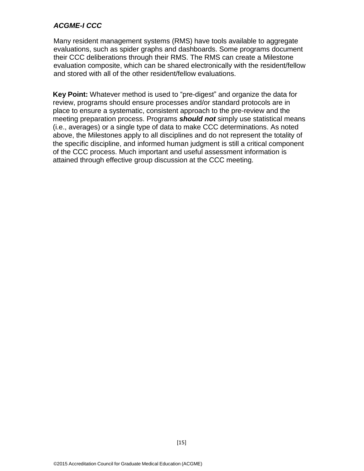Many resident management systems (RMS) have tools available to aggregate evaluations, such as spider graphs and dashboards. Some programs document their CCC deliberations through their RMS. The RMS can create a Milestone evaluation composite, which can be shared electronically with the resident/fellow and stored with all of the other resident/fellow evaluations.

**Key Point:** Whatever method is used to "pre-digest" and organize the data for review, programs should ensure processes and/or standard protocols are in place to ensure a systematic, consistent approach to the pre-review and the meeting preparation process. Programs *should not* simply use statistical means (i.e., averages) or a single type of data to make CCC determinations. As noted above, the Milestones apply to all disciplines and do not represent the totality of the specific discipline, and informed human judgment is still a critical component of the CCC process. Much important and useful assessment information is attained through effective group discussion at the CCC meeting.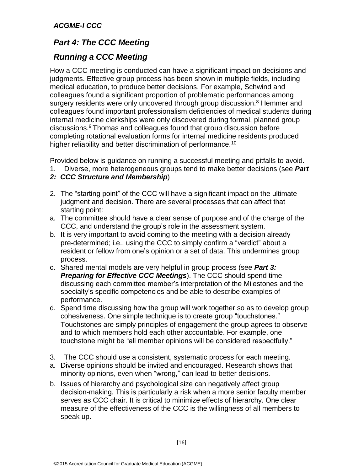# *Part 4: The CCC Meeting*

# *Running a CCC Meeting*

How a CCC meeting is conducted can have a significant impact on decisions and judgments. Effective group process has been shown in multiple fields, including medical education, to produce better decisions. For example, Schwind and colleagues found a significant proportion of problematic performances among surgery residents were only uncovered through group discussion.<sup>8</sup> Hemmer and colleagues found important professionalism deficiencies of medical students during internal medicine clerkships were only discovered during formal, planned group discussions.<sup>9</sup> Thomas and colleagues found that group discussion before completing rotational evaluation forms for internal medicine residents produced higher reliability and better discrimination of performance.<sup>10</sup>

Provided below is guidance on running a successful meeting and pitfalls to avoid.

- 1. Diverse, more heterogeneous groups tend to make better decisions (see *Part*
- *2: CCC Structure and Membership*)
- 2. The "starting point" of the CCC will have a significant impact on the ultimate judgment and decision. There are several processes that can affect that starting point:
- a. The committee should have a clear sense of purpose and of the charge of the CCC, and understand the group's role in the assessment system.
- b. It is very important to avoid coming to the meeting with a decision already pre-determined; i.e., using the CCC to simply confirm a "verdict" about a resident or fellow from one's opinion or a set of data. This undermines group process.
- c. Shared mental models are very helpful in group process (see *Part 3: Preparing for Effective CCC Meetings*). The CCC should spend time discussing each committee member's interpretation of the Milestones and the specialty's specific competencies and be able to describe examples of performance.
- d. Spend time discussing how the group will work together so as to develop group cohesiveness. One simple technique is to create group "touchstones." Touchstones are simply principles of engagement the group agrees to observe and to which members hold each other accountable. For example, one touchstone might be "all member opinions will be considered respectfully."
- 3. The CCC should use a consistent, systematic process for each meeting.
- a. Diverse opinions should be invited and encouraged. Research shows that minority opinions, even when "wrong," can lead to better decisions.
- b. Issues of hierarchy and psychological size can negatively affect group decision-making. This is particularly a risk when a more senior faculty member serves as CCC chair. It is critical to minimize effects of hierarchy. One clear measure of the effectiveness of the CCC is the willingness of all members to speak up.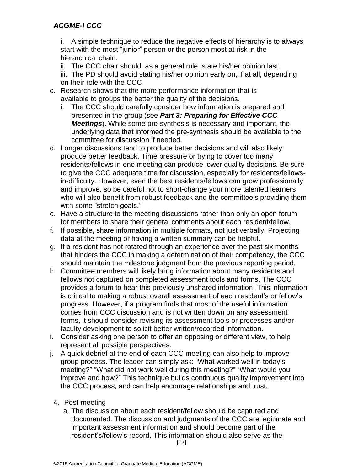i. A simple technique to reduce the negative effects of hierarchy is to always start with the most "junior" person or the person most at risk in the hierarchical chain.

ii. The CCC chair should, as a general rule, state his/her opinion last.

iii. The PD should avoid stating his/her opinion early on, if at all, depending on their role with the CCC

- c. Research shows that the more performance information that is available to groups the better the quality of the decisions.
	- i. The CCC should carefully consider how information is prepared and presented in the group (see *Part 3: Preparing for Effective CCC Meetings*). While some pre-synthesis is necessary and important, the underlying data that informed the pre-synthesis should be available to the committee for discussion if needed.
- d. Longer discussions tend to produce better decisions and will also likely produce better feedback. Time pressure or trying to cover too many residents/fellows in one meeting can produce lower quality decisions. Be sure to give the CCC adequate time for discussion, especially for residents/fellowsin-difficulty. However, even the best residents/fellows can grow professionally and improve, so be careful not to short-change your more talented learners who will also benefit from robust feedback and the committee's providing them with some "stretch goals."
- e. Have a structure to the meeting discussions rather than only an open forum for members to share their general comments about each resident/fellow.
- f. If possible, share information in multiple formats, not just verbally. Projecting data at the meeting or having a written summary can be helpful.
- g. If a resident has not rotated through an experience over the past six months that hinders the CCC in making a determination of their competency, the CCC should maintain the milestone judgment from the previous reporting period.
- h. Committee members will likely bring information about many residents and fellows not captured on completed assessment tools and forms. The CCC provides a forum to hear this previously unshared information. This information is critical to making a robust overall assessment of each resident's or fellow's progress. However, if a program finds that most of the useful information comes from CCC discussion and is not written down on any assessment forms, it should consider revising its assessment tools or processes and/or faculty development to solicit better written/recorded information.
- i. Consider asking one person to offer an opposing or different view, to help represent all possible perspectives.
- j. A quick debrief at the end of each CCC meeting can also help to improve group process. The leader can simply ask: "What worked well in today's meeting?" "What did not work well during this meeting?" "What would you improve and how?" This technique builds continuous quality improvement into the CCC process, and can help encourage relationships and trust.
	- 4. Post-meeting
		- $[17]$ a. The discussion about each resident/fellow should be captured and documented. The discussion and judgments of the CCC are legitimate and important assessment information and should become part of the resident's/fellow's record. This information should also serve as the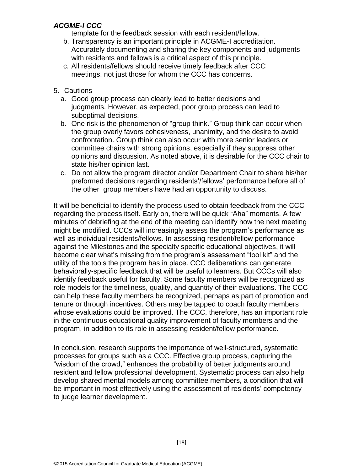template for the feedback session with each resident/fellow.

- b. Transparency is an important principle in ACGME-I accreditation. Accurately documenting and sharing the key components and judgments with residents and fellows is a critical aspect of this principle.
- c. All residents/fellows should receive timely feedback after CCC meetings, not just those for whom the CCC has concerns.
- 5. Cautions
	- a. Good group process can clearly lead to better decisions and judgments. However, as expected, poor group process can lead to suboptimal decisions.
	- b. One risk is the phenomenon of "group think." Group think can occur when the group overly favors cohesiveness, unanimity, and the desire to avoid confrontation. Group think can also occur with more senior leaders or committee chairs with strong opinions, especially if they suppress other opinions and discussion. As noted above, it is desirable for the CCC chair to state his/her opinion last.
	- c. Do not allow the program director and/or Department Chair to share his/her preformed decisions regarding residents'/fellows' performance before all of the other group members have had an opportunity to discuss.

It will be beneficial to identify the process used to obtain feedback from the CCC regarding the process itself. Early on, there will be quick "Aha" moments. A few minutes of debriefing at the end of the meeting can identify how the next meeting might be modified. CCCs will increasingly assess the program's performance as well as individual residents/fellows. In assessing resident/fellow performance against the Milestones and the specialty specific educational objectives, it will become clear what's missing from the program's assessment "tool kit" and the utility of the tools the program has in place. CCC deliberations can generate behaviorally-specific feedback that will be useful to learners. But CCCs will also identify feedback useful for faculty. Some faculty members will be recognized as role models for the timeliness, quality, and quantity of their evaluations. The CCC can help these faculty members be recognized, perhaps as part of promotion and tenure or through incentives. Others may be tapped to coach faculty members whose evaluations could be improved. The CCC, therefore, has an important role in the continuous educational quality improvement of faculty members and the program, in addition to its role in assessing resident/fellow performance.

In conclusion, research supports the importance of well-structured, systematic processes for groups such as a CCC. Effective group process, capturing the "wisdom of the crowd," enhances the probability of better judgments around resident and fellow professional development. Systematic process can also help develop shared mental models among committee members, a condition that will be important in most effectively using the assessment of residents' competency to judge learner development.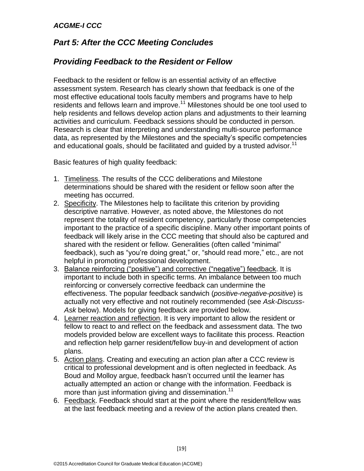# *Part 5: After the CCC Meeting Concludes*

# *Providing Feedback to the Resident or Fellow*

Feedback to the resident or fellow is an essential activity of an effective assessment system. Research has clearly shown that feedback is one of the most effective educational tools faculty members and programs have to help residents and fellows learn and improve.<sup>11</sup> Milestones should be one tool used to help residents and fellows develop action plans and adjustments to their learning activities and curriculum. Feedback sessions should be conducted in person. Research is clear that interpreting and understanding multi-source performance data, as represented by the Milestones and the specialty's specific competencies and educational goals, should be facilitated and guided by a trusted advisor.<sup>11</sup>

Basic features of high quality feedback:

- 1. Timeliness. The results of the CCC deliberations and Milestone determinations should be shared with the resident or fellow soon after the meeting has occurred.
- 2. Specificity. The Milestones help to facilitate this criterion by providing descriptive narrative. However, as noted above, the Milestones do not represent the totality of resident competency, particularly those competencies important to the practice of a specific discipline. Many other important points of feedback will likely arise in the CCC meeting that should also be captured and shared with the resident or fellow. Generalities (often called "minimal" feedback), such as "you're doing great," or, "should read more," etc., are not helpful in promoting professional development.
- 3. Balance reinforcing ("positive") and corrective ("negative") feedback. It is important to include both in specific terms. An imbalance between too much reinforcing or conversely corrective feedback can undermine the effectiveness. The popular feedback sandwich (*positive-negative-positive*) is actually not very effective and not routinely recommended (see *Ask-Discuss-Ask* below). Models for giving feedback are provided below.
- 4. Learner reaction and reflection. It is very important to allow the resident or fellow to react to and reflect on the feedback and assessment data. The two models provided below are excellent ways to facilitate this process. Reaction and reflection help garner resident/fellow buy-in and development of action plans.
- 5. Action plans. Creating and executing an action plan after a CCC review is critical to professional development and is often neglected in feedback. As Boud and Molloy argue, feedback hasn't occurred until the learner has actually attempted an action or change with the information. Feedback is more than just information giving and dissemination.<sup>11</sup>
- 6. Feedback. Feedback should start at the point where the resident/fellow was at the last feedback meeting and a review of the action plans created then.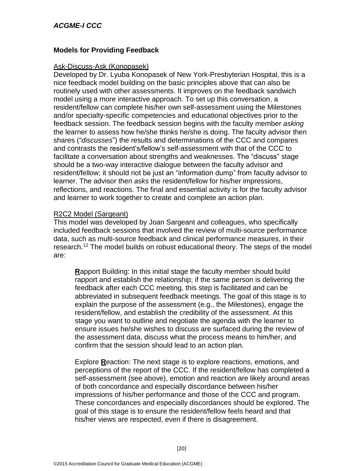#### **Models for Providing Feedback**

#### Ask-Discuss-Ask (Konopasek)

Developed by Dr. Lyuba Konopasek of New York-Presbyterian Hospital, this is a nice feedback model building on the basic principles above that can also be routinely used with other assessments. It improves on the feedback sandwich model using a more interactive approach. To set up this conversation, a resident/fellow can complete his/her own self-assessment using the Milestones and/or specialty-specific competencies and educational objectives prior to the feedback session. The feedback session begins with the faculty member *asking*  the learner to assess how he/she thinks he/she is doing. The faculty advisor then shares ("*discusses*") the results and determinations of the CCC and compares and contrasts the resident's/fellow's self-assessment with that of the CCC to facilitate a conversation about strengths and weaknesses. The "discuss" stage should be a two-way interactive dialogue between the faculty advisor and resident/fellow; it should not be just an "information dump" from faculty advisor to learner. The advisor then *asks* the resident/fellow for his/her impressions, reflections, and reactions. The final and essential activity is for the faculty advisor and learner to work together to create and complete an action plan.

#### R2C2 Model (Sargeant)

This model was developed by Joan Sargeant and colleagues, who specifically included feedback sessions that involved the review of multi-source performance data, such as multi-source feedback and clinical performance measures, in their research.<sup>12</sup> The model builds on robust educational theory. The steps of the model are:

**R**apport Building: In this initial stage the faculty member should build rapport and establish the relationship; if the same person is delivering the feedback after each CCC meeting, this step is facilitated and can be abbreviated in subsequent feedback meetings. The goal of this stage is to explain the purpose of the assessment (e.g., the Milestones), engage the resident/fellow, and establish the credibility of the assessment. At this stage you want to outline and negotiate the agenda with the learner to ensure issues he/she wishes to discuss are surfaced during the review of the assessment data, discuss what the process means to him/her, and confirm that the session should lead to an action plan.

Explore **R**eaction: The next stage is to explore reactions, emotions, and perceptions of the report of the CCC. If the resident/fellow has completed a self-assessment (see above), emotion and reaction are likely around areas of both concordance and especially discordance between his/her impressions of his/her performance and those of the CCC and program. These concordances and especially discordances should be explored. The goal of this stage is to ensure the resident/fellow feels heard and that his/her views are respected, even if there is disagreement.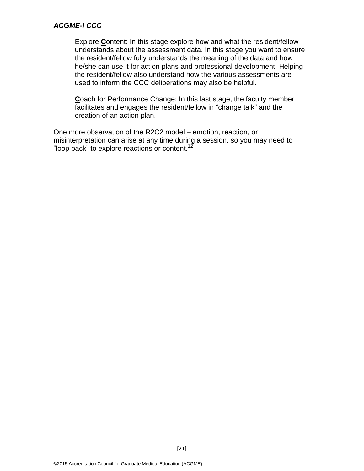Explore **C**ontent: In this stage explore how and what the resident/fellow understands about the assessment data. In this stage you want to ensure the resident/fellow fully understands the meaning of the data and how he/she can use it for action plans and professional development. Helping the resident/fellow also understand how the various assessments are used to inform the CCC deliberations may also be helpful.

**C**oach for Performance Change: In this last stage, the faculty member facilitates and engages the resident/fellow in "change talk" and the creation of an action plan.

One more observation of the R2C2 model – emotion, reaction, or misinterpretation can arise at any time during a session, so you may need to "loop back" to explore reactions or content.<sup>12</sup>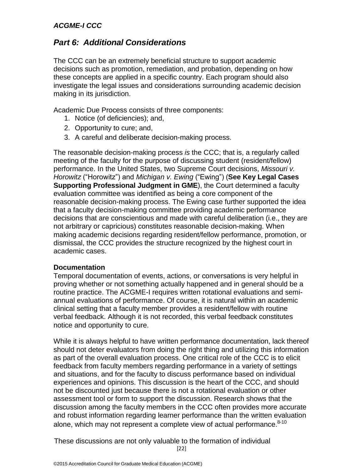# *Part 6: Additional Considerations*

The CCC can be an extremely beneficial structure to support academic decisions such as promotion, remediation, and probation, depending on how these concepts are applied in a specific country. Each program should also investigate the legal issues and considerations surrounding academic decision making in its jurisdiction.

Academic Due Process consists of three components:

- 1. Notice (of deficiencies); and,
- 2. Opportunity to cure; and,
- 3. A careful and deliberate decision-making process.

The reasonable decision-making process *is* the CCC; that is, a regularly called meeting of the faculty for the purpose of discussing student (resident/fellow) performance. In the United States, two Supreme Court decisions, *Missouri v. Horowitz* ("Horowitz") and *Michigan v. Ewing* ("Ewing") (**See Key Legal Cases Supporting Professional Judgment in GME**), the Court determined a faculty evaluation committee was identified as being a core component of the reasonable decision-making process. The Ewing case further supported the idea that a faculty decision-making committee providing academic performance decisions that are conscientious and made with careful deliberation (i.e., they are not arbitrary or capricious) constitutes reasonable decision-making. When making academic decisions regarding resident/fellow performance, promotion, or dismissal, the CCC provides the structure recognized by the highest court in academic cases.

#### **Documentation**

Temporal documentation of events, actions, or conversations is very helpful in proving whether or not something actually happened and in general should be a routine practice. The ACGME-I requires written rotational evaluations and semiannual evaluations of performance. Of course, it is natural within an academic clinical setting that a faculty member provides a resident/fellow with routine verbal feedback. Although it is not recorded, this verbal feedback constitutes notice and opportunity to cure.

While it is always helpful to have written performance documentation, lack thereof should not deter evaluators from doing the right thing and utilizing this information as part of the overall evaluation process. One critical role of the CCC is to elicit feedback from faculty members regarding performance in a variety of settings and situations, and for the faculty to discuss performance based on individual experiences and opinions. This discussion is the heart of the CCC, and should not be discounted just because there is not a rotational evaluation or other assessment tool or form to support the discussion. Research shows that the discussion among the faculty members in the CCC often provides more accurate and robust information regarding learner performance than the written evaluation alone, which may not represent a complete view of actual performance.<sup>8-10</sup>

[22] These discussions are not only valuable to the formation of individual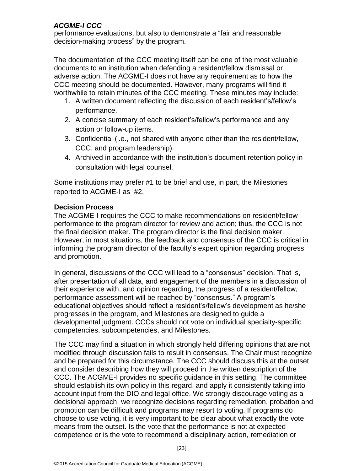performance evaluations, but also to demonstrate a "fair and reasonable decision-making process" by the program.

The documentation of the CCC meeting itself can be one of the most valuable documents to an institution when defending a resident/fellow dismissal or adverse action. The ACGME-I does not have any requirement as to how the CCC meeting should be documented. However, many programs will find it worthwhile to retain minutes of the CCC meeting. These minutes may include:

- 1. A written document reflecting the discussion of each resident's/fellow's performance.
- 2. A concise summary of each resident's/fellow's performance and any action or follow-up items.
- 3. Confidential (i.e., not shared with anyone other than the resident/fellow, CCC, and program leadership).
- 4. Archived in accordance with the institution's document retention policy in consultation with legal counsel.

Some institutions may prefer #1 to be brief and use, in part, the Milestones reported to ACGME-I as #2.

# **Decision Process**

The ACGME-I requires the CCC to make recommendations on resident/fellow performance to the program director for review and action; thus, the CCC is not the final decision maker. The program director is the final decision maker. However, in most situations, the feedback and consensus of the CCC is critical in informing the program director of the faculty's expert opinion regarding progress and promotion.

In general, discussions of the CCC will lead to a "consensus" decision. That is, after presentation of all data, and engagement of the members in a discussion of their experience with, and opinion regarding, the progress of a resident/fellow, performance assessment will be reached by "consensus." A program's educational objectives should reflect a resident's/fellow's development as he/she progresses in the program, and Milestones are designed to guide a developmental judgment. CCCs should not vote on individual specialty-specific competencies, subcompetencies, and Milestones.

The CCC may find a situation in which strongly held differing opinions that are not modified through discussion fails to result in consensus. The Chair must recognize and be prepared for this circumstance. The CCC should discuss this at the outset and consider describing how they will proceed in the written description of the CCC. The ACGME-I provides no specific guidance in this setting. The committee should establish its own policy in this regard, and apply it consistently taking into account input from the DIO and legal office. We strongly discourage voting as a decisional approach, we recognize decisions regarding remediation, probation and promotion can be difficult and programs may resort to voting. If programs do choose to use voting, it is very important to be clear about what exactly the vote means from the outset. Is the vote that the performance is not at expected competence or is the vote to recommend a disciplinary action, remediation or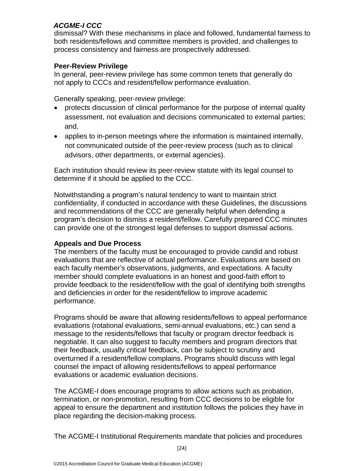dismissal? With these mechanisms in place and followed, fundamental fairness to both residents/fellows and committee members is provided, and challenges to process consistency and fairness are prospectively addressed.

#### **Peer-Review Privilege**

In general, peer-review privilege has some common tenets that generally do not apply to CCCs and resident/fellow performance evaluation.

Generally speaking, peer-review privilege:

- protects discussion of clinical performance for the purpose of internal quality assessment, not evaluation and decisions communicated to external parties; and,
- applies to in-person meetings where the information is maintained internally, not communicated outside of the peer-review process (such as to clinical advisors, other departments, or external agencies).

Each institution should review its peer-review statute with its legal counsel to determine if it should be applied to the CCC.

Notwithstanding a program's natural tendency to want to maintain strict confidentiality, if conducted in accordance with these Guidelines, the discussions and recommendations of the CCC are generally helpful when defending a program's decision to dismiss a resident/fellow. Carefully prepared CCC minutes can provide one of the strongest legal defenses to support dismissal actions.

# **Appeals and Due Process**

The members of the faculty must be encouraged to provide candid and robust evaluations that are reflective of actual performance. Evaluations are based on each faculty member's observations, judgments, and expectations. A faculty member should complete evaluations in an honest and good-faith effort to provide feedback to the resident/fellow with the goal of identifying both strengths and deficiencies in order for the resident/fellow to improve academic performance.

Programs should be aware that allowing residents/fellows to appeal performance evaluations (rotational evaluations, semi-annual evaluations, etc.) can send a message to the residents/fellows that faculty or program director feedback is negotiable. It can also suggest to faculty members and program directors that their feedback, usually critical feedback, can be subject to scrutiny and overturned if a resident/fellow complains. Programs should discuss with legal counsel the impact of allowing residents/fellows to appeal performance evaluations or academic evaluation decisions.

The ACGME-I does encourage programs to allow actions such as probation, termination, or non-promotion, resulting from CCC decisions to be eligible for appeal to ensure the department and institution follows the policies they have in place regarding the decision-making process.

The ACGME-I Institutional Requirements mandate that policies and procedures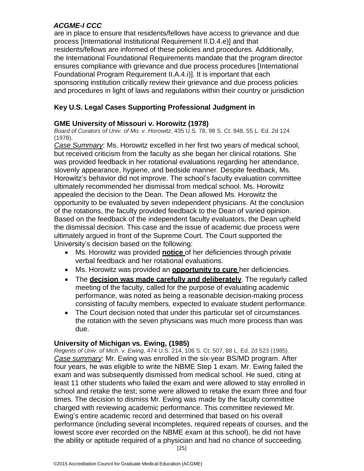are in place to ensure that residents/fellows have access to grievance and due process [International Institutional Requirement II.D.4.e)] and that residents/fellows are informed of these policies and procedures. Additionally, the International Foundational Requirements mandate that the program director ensures compliance with grievance and due process procedures [International Foundational Program Requirement II.A.4.i)]. It is important that each sponsoring institution critically review their grievance and due process policies and procedures in light of laws and regulations within their country or jurisdiction

# **Key U.S. Legal Cases Supporting Professional Judgment in**

#### **GME University of Missouri v. Horowitz (1978)**

*Board of Curators of Univ. of Mo. v. Horowitz*, 435 U.S. 78, 98 S. Ct. 948, 55 L. Ed. 2d 124 (1978).

*Case Summary*: Ms. Horowitz excelled in her first two years of medical school, but received criticism from the faculty as she began her clinical rotations. She was provided feedback in her rotational evaluations regarding her attendance, slovenly appearance, hygiene, and bedside manner. Despite feedback, Ms. Horowitz's behavior did not improve. The school's faculty evaluation committee ultimately recommended her dismissal from medical school. Ms. Horowitz appealed the decision to the Dean. The Dean allowed Ms. Horowitz the opportunity to be evaluated by seven independent physicians. At the conclusion of the rotations, the faculty provided feedback to the Dean of varied opinion. Based on the feedback of the independent faculty evaluators, the Dean upheld the dismissal decision. This case and the issue of academic due process were ultimately argued in front of the Supreme Court. The Court supported the University's decision based on the following:

- Ms. Horowitz was provided **notice** of her deficiencies through private verbal feedback and her rotational evaluations.
- Ms. Horowitz was provided an **opportunity to cure** her deficiencies.
- The **decision was made carefully and deliberately**. The regularly called meeting of the faculty, called for the purpose of evaluating academic performance, was noted as being a reasonable decision-making process consisting of faculty members, expected to evaluate student performance.
- The Court decision noted that under this particular set of circumstances the rotation with the seven physicians was much more process than was due.

#### **University of Michigan vs. Ewing, (1985)**

*Regents of Univ. of Mich. v. Ewing*, 474 U.S. 214, 106 S. Ct. 507, 88 L. Ed. 2d 523 (1985). *Case summary*: Mr. Ewing was enrolled in the six-year BS/MD program. After four years, he was eligible to write the NBME Step 1 exam. Mr. Ewing failed the exam and was subsequently dismissed from medical school. He sued, citing at least 11 other students who failed the exam and were allowed to stay enrolled in school and retake the test; some were allowed to retake the exam three and four times. The decision to dismiss Mr. Ewing was made by the faculty committee charged with reviewing academic performance. This committee reviewed Mr. Ewing's entire academic record and determined that based on his overall performance (including several incompletes, required repeats of courses, and the lowest score ever recorded on the NBME exam at this school), he did not have the ability or aptitude required of a physician and had no chance of succeeding.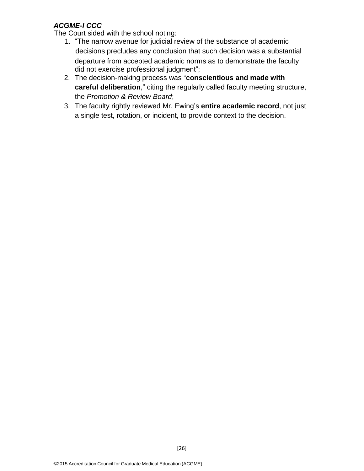The Court sided with the school noting:

- 1. "The narrow avenue for judicial review of the substance of academic decisions precludes any conclusion that such decision was a substantial departure from accepted academic norms as to demonstrate the faculty did not exercise professional judgment";
- 2. The decision-making process was "**conscientious and made with careful deliberation**," citing the regularly called faculty meeting structure, the *Promotion & Review Board*;
- 3. The faculty rightly reviewed Mr. Ewing's **entire academic record**, not just a single test, rotation, or incident, to provide context to the decision.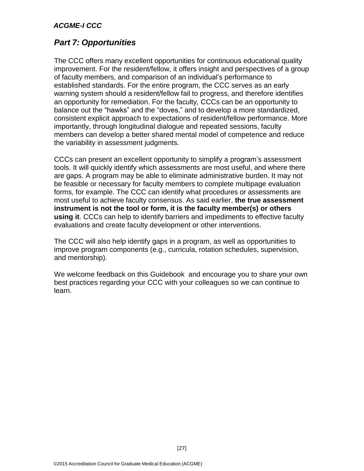# *Part 7: Opportunities*

The CCC offers many excellent opportunities for continuous educational quality improvement. For the resident/fellow, it offers insight and perspectives of a group of faculty members, and comparison of an individual's performance to established standards. For the entire program, the CCC serves as an early warning system should a resident/fellow fail to progress, and therefore identifies an opportunity for remediation. For the faculty, CCCs can be an opportunity to balance out the "hawks" and the "doves," and to develop a more standardized, consistent explicit approach to expectations of resident/fellow performance. More importantly, through longitudinal dialogue and repeated sessions, faculty members can develop a better shared mental model of competence and reduce the variability in assessment judgments.

CCCs can present an excellent opportunity to simplify a program's assessment tools. It will quickly identify which assessments are most useful, and where there are gaps. A program may be able to eliminate administrative burden. It may not be feasible or necessary for faculty members to complete multipage evaluation forms, for example. The CCC can identify what procedures or assessments are most useful to achieve faculty consensus. As said earlier, **the true assessment instrument is not the tool or form, it is the faculty member(s) or others using it**. CCCs can help to identify barriers and impediments to effective faculty evaluations and create faculty development or other interventions.

The CCC will also help identify gaps in a program, as well as opportunities to improve program components (e.g., curricula, rotation schedules, supervision, and mentorship).

We welcome feedback on this Guidebook and encourage you to share your own best practices regarding your CCC with your colleagues so we can continue to learn.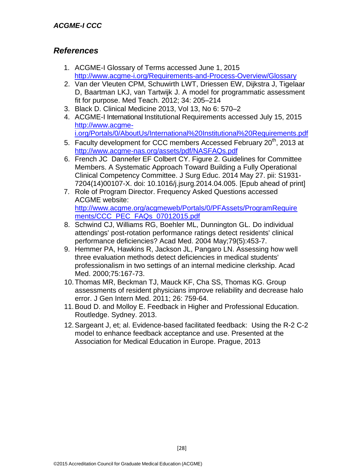# *References*

- 1. ACGME-I Glossary of Terms accessed June 1, 2015 <http://www.acgme-i.org/Requirements-and-Process-Overview/Glossary>
- 2. Van der Vleuten CPM, Schuwirth LWT, Driessen EW, Dijkstra J, Tigelaar D, Baartman LKJ, van Tartwijk J. A model for programmatic assessment fit for purpose. Med Teach. 2012; 34: 205–214
- 3. Black D. Clinical Medicine 2013, Vol 13, No 6: 570–2
- 4. ACGME-I International Institutional Requirements accessed July 15, 2015 [http://www.acgme](http://www.acgme-i.org/Portals/0/AboutUs/International%20Institutional%20Requirements.pdf)[i.org/Portals/0/AboutUs/International%20Institutional%20Requirements.pdf](http://www.acgme-i.org/Portals/0/AboutUs/International%20Institutional%20Requirements.pdf)
- 5. Faculty development for CCC members Accessed February 20<sup>th</sup>, 2013 at <http://www.acgme-nas.org/assets/pdf/NASFAQs.pdf>
- 6. French JC Dannefer EF Colbert CY. Figure 2. Guidelines for Committee Members. A Systematic Approach Toward Building a Fully Operational Clinical Competency Committee. J Surg Educ. 2014 May 27. pii: S1931- 7204(14)00107-X. doi: 10.1016/j.jsurg.2014.04.005. [Epub ahead of print]
- 7. Role of Program Director. Frequency Asked Questions accessed ACGME website: [http://www.acgme.org/acgmeweb/Portals/0/PFAssets/ProgramRequire](http://www.acgme.org/acgmeweb/Portals/0/PFAssets/ProgramRequirements/CCC_PEC_FAQs_07012015.pdf) [ments/CCC\\_PEC\\_FAQs\\_07012015.pdf](http://www.acgme.org/acgmeweb/Portals/0/PFAssets/ProgramRequirements/CCC_PEC_FAQs_07012015.pdf)
- 8. Schwind CJ, Williams RG, Boehler ML, Dunnington GL. Do individual attendings' post-rotation performance ratings detect residents' clinical performance deficiencies? Acad Med. 2004 May;79(5):453-7.
- 9. Hemmer PA, Hawkins R, Jackson JL, Pangaro LN. Assessing how well three evaluation methods detect deficiencies in medical students' professionalism in two settings of an internal medicine clerkship. Acad Med. 2000;75:167-73.
- 10.Thomas MR, Beckman TJ, Mauck KF, Cha SS, Thomas KG. Group assessments of resident physicians improve reliability and decrease halo error. J Gen Intern Med. 2011; 26: 759-64.
- 11.Boud D. and Molloy E. Feedback in Higher and Professional Education. Routledge. Sydney. 2013.
- 12.Sargeant J, et; al. Evidence-based facilitated feedback: Using the R-2 C-2 model to enhance feedback acceptance and use. Presented at the Association for Medical Education in Europe. Prague, 2013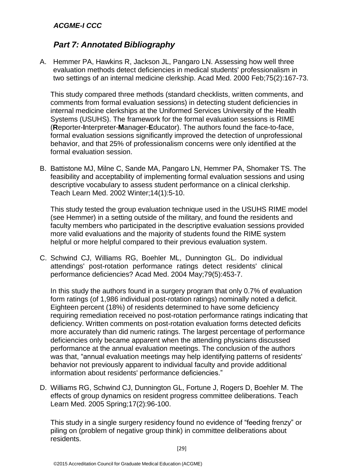# *Part 7: Annotated Bibliography*

A. Hemmer PA, Hawkins R, Jackson JL, Pangaro LN. Assessing how well three evaluation methods detect deficiencies in medical students' professionalism in two settings of an internal medicine clerkship. Acad Med. 2000 Feb;75(2):167-73.

This study compared three methods (standard checklists, written comments, and comments from formal evaluation sessions) in detecting student deficiencies in internal medicine clerkships at the Uniformed Services University of the Health Systems (USUHS). The framework for the formal evaluation sessions is RIME (**R**eporter-**I**nterpreter-**M**anager-**E**ducator). The authors found the face-to-face, formal evaluation sessions significantly improved the detection of unprofessional behavior, and that 25% of professionalism concerns were only identified at the formal evaluation session.

B. Battistone MJ, Milne C, Sande MA, Pangaro LN, Hemmer PA, Shomaker TS. The feasibility and acceptability of implementing formal evaluation sessions and using descriptive vocabulary to assess student performance on a clinical clerkship. Teach Learn Med. 2002 Winter;14(1):5-10.

This study tested the group evaluation technique used in the USUHS RIME model (see Hemmer) in a setting outside of the military, and found the residents and faculty members who participated in the descriptive evaluation sessions provided more valid evaluations and the majority of students found the RIME system helpful or more helpful compared to their previous evaluation system.

C. Schwind CJ, Williams RG, Boehler ML, Dunnington GL. Do individual attendings' post-rotation performance ratings detect residents' clinical performance deficiencies? Acad Med. 2004 May;79(5):453-7.

In this study the authors found in a surgery program that only 0.7% of evaluation form ratings (of 1,986 individual post-rotation ratings) nominally noted a deficit. Eighteen percent (18%) of residents determined to have some deficiency requiring remediation received no post-rotation performance ratings indicating that deficiency. Written comments on post-rotation evaluation forms detected deficits more accurately than did numeric ratings. The largest percentage of performance deficiencies only became apparent when the attending physicians discussed performance at the annual evaluation meetings. The conclusion of the authors was that, "annual evaluation meetings may help identifying patterns of residents' behavior not previously apparent to individual faculty and provide additional information about residents' performance deficiencies."

D. Williams RG, Schwind CJ, Dunnington GL, Fortune J, Rogers D, Boehler M. The effects of group dynamics on resident progress committee deliberations. Teach Learn Med. 2005 Spring;17(2):96-100.

This study in a single surgery residency found no evidence of "feeding frenzy" or piling on (problem of negative group think) in committee deliberations about residents.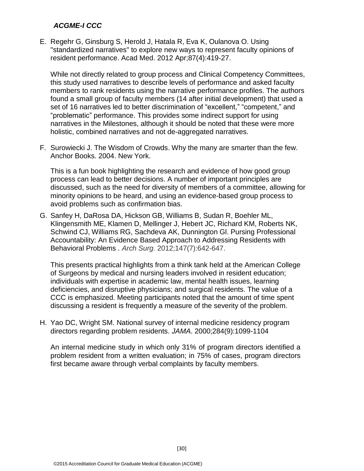E. Regehr G, Ginsburg S, Herold J, Hatala R, Eva K, Oulanova O. Using "standardized narratives" to explore new ways to represent faculty opinions of resident performance. Acad Med. 2012 Apr;87(4):419-27.

While not directly related to group process and Clinical Competency Committees, this study used narratives to describe levels of performance and asked faculty members to rank residents using the narrative performance profiles. The authors found a small group of faculty members (14 after initial development) that used a set of 16 narratives led to better discrimination of "excellent," "competent," and "problematic" performance. This provides some indirect support for using narratives in the Milestones, although it should be noted that these were more holistic, combined narratives and not de-aggregated narratives.

F. Surowiecki J. The Wisdom of Crowds. Why the many are smarter than the few. Anchor Books. 2004. New York.

This is a fun book highlighting the research and evidence of how good group process can lead to better decisions. A number of important principles are discussed, such as the need for diversity of members of a committee, allowing for minority opinions to be heard, and using an evidence-based group process to avoid problems such as confirmation bias.

G. Sanfey H, DaRosa DA, Hickson GB, Williams B, Sudan R, Boehler ML, Klingensmith ME, Klamen D, Mellinger J, Hebert JC, Richard KM, Roberts NK, Schwind CJ, Williams RG, Sachdeva AK, Dunnington Gl. Pursing Professional Accountability: An Evidence Based Approach to Addressing Residents with Behavioral Problems . *Arch Surg.* 2012;147(7):642-647.

This presents practical highlights from a think tank held at the American College of Surgeons by medical and nursing leaders involved in resident education; individuals with expertise in academic law, mental health issues, learning deficiencies, and disruptive physicians; and surgical residents. The value of a CCC is emphasized. Meeting participants noted that the amount of time spent discussing a resident is frequently a measure of the severity of the problem.

H. Yao DC, Wright SM. National survey of internal medicine residency program directors regarding problem residents. *JAMA*. 2000;284(9):1099-1104

An internal medicine study in which only 31% of program directors identified a problem resident from a written evaluation; in 75% of cases, program directors first became aware through verbal complaints by faculty members.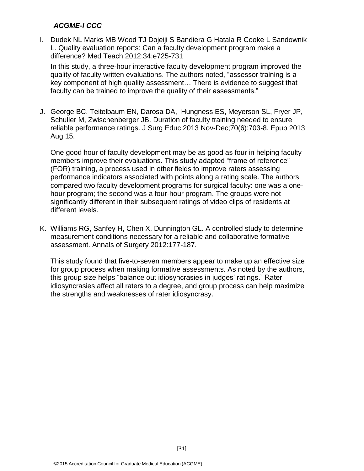I. Dudek NL Marks MB Wood TJ Dojeiji S Bandiera G Hatala R Cooke L Sandownik L. Quality evaluation reports: Can a faculty development program make a difference? Med Teach 2012;34:e725-731

In this study, a three-hour interactive faculty development program improved the quality of faculty written evaluations. The authors noted, "assessor training is a key component of high quality assessment… There is evidence to suggest that faculty can be trained to improve the quality of their assessments."

J. George BC. Teitelbaum EN, Darosa DA, Hungness ES, Meyerson SL, Fryer JP, Schuller M, Zwischenberger JB. Duration of faculty training needed to ensure reliable performance ratings. J Surg Educ 2013 Nov-Dec;70(6):703-8. Epub 2013 Aug 15.

One good hour of faculty development may be as good as four in helping faculty members improve their evaluations. This study adapted "frame of reference" (FOR) training, a process used in other fields to improve raters assessing performance indicators associated with points along a rating scale. The authors compared two faculty development programs for surgical faculty: one was a onehour program; the second was a four-hour program. The groups were not significantly different in their subsequent ratings of video clips of residents at different levels.

K. Williams RG, Sanfey H, Chen X, Dunnington GL. A controlled study to determine measurement conditions necessary for a reliable and collaborative formative assessment. Annals of Surgery 2012:177-187.

This study found that five-to-seven members appear to make up an effective size for group process when making formative assessments. As noted by the authors, this group size helps "balance out idiosyncrasies in judges' ratings." Rater idiosyncrasies affect all raters to a degree, and group process can help maximize the strengths and weaknesses of rater idiosyncrasy.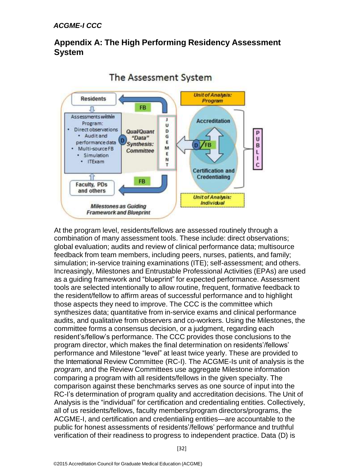# **Appendix A: The High Performing Residency Assessment System**



The Assessment System

At the program level, residents/fellows are assessed routinely through a combination of many assessment tools. These include: direct observations; global evaluation; audits and review of clinical performance data; multisource feedback from team members, including peers, nurses, patients, and family; simulation; in-service training examinations (ITE); self-assessment; and others. Increasingly, Milestones and Entrustable Professional Activities (EPAs) are used as a guiding framework and "blueprint" for expected performance. Assessment tools are selected intentionally to allow routine, frequent, formative feedback to the resident/fellow to affirm areas of successful performance and to highlight those aspects they need to improve. The CCC is the committee which synthesizes data; quantitative from in-service exams and clinical performance audits, and qualitative from observers and co-workers. Using the Milestones, the committee forms a consensus decision, or a judgment, regarding each resident's/fellow's performance. The CCC provides those conclusions to the program director, which makes the final determination on residents'/fellows' performance and Milestone "level" at least twice yearly. These are provided to the International Review Committee (RC-I). The ACGME-Is unit of analysis is the *program*, and the Review Committees use aggregate Milestone information comparing a program with all residents/fellows in the given specialty. The comparison against these benchmarks serves as one source of input into the RC-I's determination of program quality and accreditation decisions. The Unit of Analysis is the "individual" for certification and credentialing entities. Collectively, all of us residents/fellows, faculty members/program directors/programs, the ACGME-I, and certification and credentialing entities—are accountable to the public for honest assessments of residents'/fellows' performance and truthful verification of their readiness to progress to independent practice. Data (D) is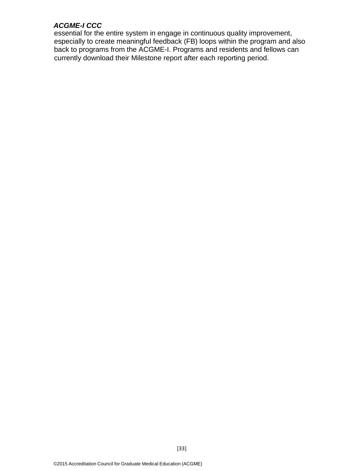essential for the entire system in engage in continuous quality improvement, especially to create meaningful feedback (FB) loops within the program and also back to programs from the ACGME-I. Programs and residents and fellows can currently download their Milestone report after each reporting period.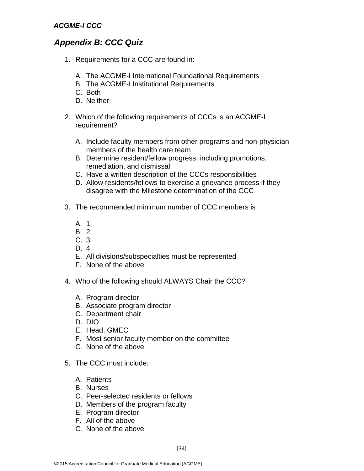# *Appendix B: CCC Quiz*

- 1. Requirements for a CCC are found in:
	- A. The ACGME-I International Foundational Requirements
	- B. The ACGME-I Institutional Requirements
	- C. Both
	- D. Neither
- 2. Which of the following requirements of CCCs is an ACGME-I requirement?
	- A. Include faculty members from other programs and non-physician members of the health care team
	- B. Determine resident/fellow progress, including promotions, remediation, and dismissal
	- C. Have a written description of the CCCs responsibilities
	- D. Allow residents/fellows to exercise a grievance process if they disagree with the Milestone determination of the CCC
- 3. The recommended minimum number of CCC members is
	- A. 1
	- B. 2
	- C. 3
	- D. 4
	- E. All divisions/subspecialties must be represented
	- F. None of the above
- 4. Who of the following should ALWAYS Chair the CCC?
	- A. Program director
	- B. Associate program director
	- C. Department chair
	- D. DIO
	- E. Head, GMEC
	- F. Most senior faculty member on the committee
	- G. None of the above
- 5. The CCC must include:
	- A. Patients
	- B. Nurses
	- C. Peer-selected residents or fellows
	- D. Members of the program faculty
	- E. Program director
	- F. All of the above
	- G. None of the above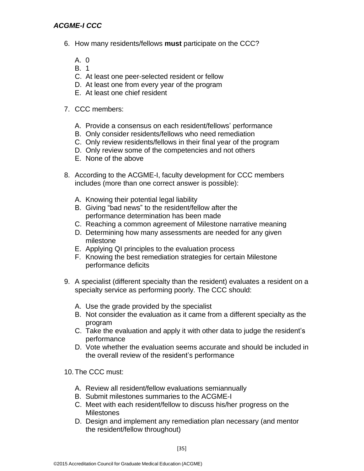- 6. How many residents/fellows **must** participate on the CCC?
	- A. 0
	- B. 1
	- C. At least one peer-selected resident or fellow
	- D. At least one from every year of the program
	- E. At least one chief resident

#### 7. CCC members:

- A. Provide a consensus on each resident/fellows' performance
- B. Only consider residents/fellows who need remediation
- C. Only review residents/fellows in their final year of the program
- D. Only review some of the competencies and not others
- E. None of the above
- 8. According to the ACGME-I, faculty development for CCC members includes (more than one correct answer is possible):
	- A. Knowing their potential legal liability
	- B. Giving "bad news" to the resident/fellow after the performance determination has been made
	- C. Reaching a common agreement of Milestone narrative meaning
	- D. Determining how many assessments are needed for any given milestone
	- E. Applying QI principles to the evaluation process
	- F. Knowing the best remediation strategies for certain Milestone performance deficits
- 9. A specialist (different specialty than the resident) evaluates a resident on a specialty service as performing poorly. The CCC should:
	- A. Use the grade provided by the specialist
	- B. Not consider the evaluation as it came from a different specialty as the program
	- C. Take the evaluation and apply it with other data to judge the resident's performance
	- D. Vote whether the evaluation seems accurate and should be included in the overall review of the resident's performance
- 10.The CCC must:
	- A. Review all resident/fellow evaluations semiannually
	- B. Submit milestones summaries to the ACGME-I
	- C. Meet with each resident/fellow to discuss his/her progress on the **Milestones**
	- D. Design and implement any remediation plan necessary (and mentor the resident/fellow throughout)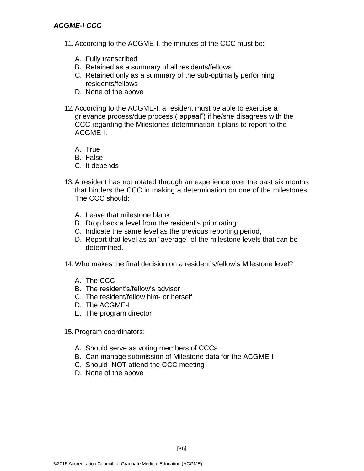- 11.According to the ACGME-I, the minutes of the CCC must be:
	- A. Fully transcribed
	- B. Retained as a summary of all residents/fellows
	- C. Retained only as a summary of the sub-optimally performing residents/fellows
	- D. None of the above
- 12.According to the ACGME-I, a resident must be able to exercise a grievance process/due process ("appeal") if he/she disagrees with the CCC regarding the Milestones determination it plans to report to the ACGME-I.
	- A. True
	- B. False
	- C. It depends
- 13.A resident has not rotated through an experience over the past six months that hinders the CCC in making a determination on one of the milestones. The CCC should:
	- A. Leave that milestone blank
	- B. Drop back a level from the resident's prior rating
	- C. Indicate the same level as the previous reporting period,
	- D. Report that level as an "average" of the milestone levels that can be determined.
- 14.Who makes the final decision on a resident's/fellow's Milestone level?
	- A. The CCC
	- B. The resident's/fellow's advisor
	- C. The resident/fellow him- or herself
	- D. The ACGME-I
	- E. The program director
- 15.Program coordinators:
	- A. Should serve as voting members of CCCs
	- B. Can manage submission of Milestone data for the ACGME-I

[36]

- C. Should NOT attend the CCC meeting
- D. None of the above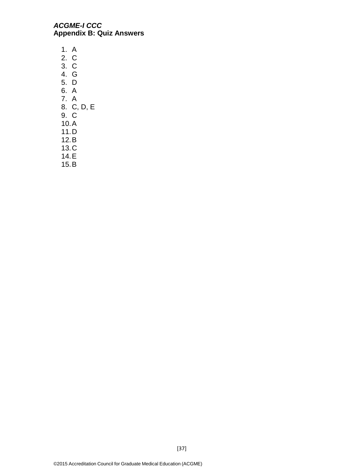#### *ACGME-I CCC*  **Appendix B: Quiz Answers**

1. A 2. C 3. C 4. G 5. D 6. A 7. A 8. C, D, E 9. C 10.A 11.D 12.B 13.C 14.E

15.B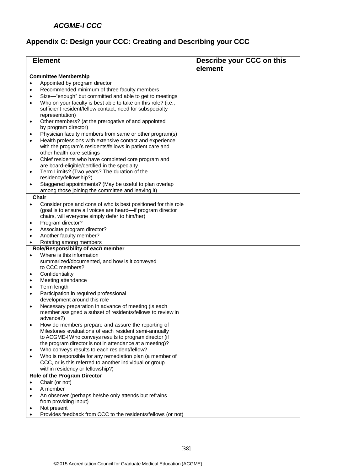# **Appendix C: Design your CCC: Creating and Describing your CCC**

| <b>Element</b> |                                                                                        | Describe your CCC on this |
|----------------|----------------------------------------------------------------------------------------|---------------------------|
|                |                                                                                        | element                   |
|                | <b>Committee Membership</b>                                                            |                           |
|                | Appointed by program director                                                          |                           |
| $\bullet$      | Recommended minimum of three faculty members                                           |                           |
| $\bullet$      | Size-"enough" but committed and able to get to meetings                                |                           |
| $\bullet$      | Who on your faculty is best able to take on this role? (i.e.,                          |                           |
|                | sufficient resident/fellow contact; need for subspecialty                              |                           |
|                | representation)                                                                        |                           |
| ٠              | Other members? (at the prerogative of and appointed                                    |                           |
|                | by program director)                                                                   |                           |
| $\bullet$      | Physician faculty members from same or other program(s)                                |                           |
| $\bullet$      | Health professions with extensive contact and experience                               |                           |
|                | with the program's residents/fellows in patient care and<br>other health care settings |                           |
| $\bullet$      | Chief residents who have completed core program and                                    |                           |
|                | are board-eligible/certified in the specialty                                          |                           |
| ٠              | Term Limits? (Two years? The duration of the                                           |                           |
|                | residency/fellowship?)                                                                 |                           |
| $\bullet$      | Staggered appointments? (May be useful to plan overlap                                 |                           |
|                | among those joining the committee and leaving it)                                      |                           |
|                | Chair                                                                                  |                           |
| $\bullet$      | Consider pros and cons of who is best positioned for this role                         |                           |
|                | (goal is to ensure all voices are heard-if program director                            |                           |
|                | chairs, will everyone simply defer to him/her)                                         |                           |
| ٠              | Program director?<br>Associate program director?                                       |                           |
| $\bullet$      | Another faculty member?                                                                |                           |
| $\bullet$      | Rotating among members                                                                 |                           |
|                | Role/Responsibility of each member                                                     |                           |
| $\bullet$      | Where is this information                                                              |                           |
|                | summarized/documented, and how is it conveyed                                          |                           |
|                | to CCC members?                                                                        |                           |
| $\bullet$      | Confidentiality                                                                        |                           |
| $\bullet$      | Meeting attendance                                                                     |                           |
| $\bullet$      | Term length                                                                            |                           |
| $\bullet$      | Participation in required professional                                                 |                           |
|                | development around this role                                                           |                           |
| $\bullet$      | Necessary preparation in advance of meeting (is each                                   |                           |
|                | member assigned a subset of residents/fellows to review in                             |                           |
|                | advance?)<br>How do members prepare and assure the reporting of                        |                           |
|                | Milestones evaluations of each resident semi-annually                                  |                           |
|                | to ACGME-I Who conveys results to program director (if                                 |                           |
|                | the program director is not in attendance at a meeting)?                               |                           |
| $\bullet$      | Who conveys results to each resident/fellow?                                           |                           |
| $\bullet$      | Who is responsible for any remediation plan (a member of                               |                           |
|                | CCC, or is this referred to another individual or group                                |                           |
|                | within residency or fellowship?)                                                       |                           |
|                | Role of the Program Director                                                           |                           |
|                | Chair (or not)                                                                         |                           |
|                | A member                                                                               |                           |
| $\bullet$      | An observer (perhaps he/she only attends but refrains                                  |                           |
|                | from providing input)                                                                  |                           |
|                | Not present<br>Provides feedback from CCC to the residents/fellows (or not)            |                           |
|                |                                                                                        |                           |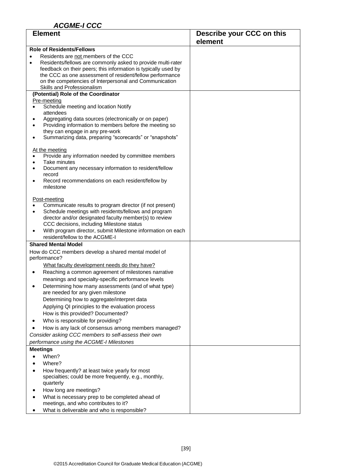| <b>Element</b>                                                                                                                                                                                                                                                                                                                                                                                                                                                                                                                                                                                                                                                                  | Describe your CCC on this<br>element |
|---------------------------------------------------------------------------------------------------------------------------------------------------------------------------------------------------------------------------------------------------------------------------------------------------------------------------------------------------------------------------------------------------------------------------------------------------------------------------------------------------------------------------------------------------------------------------------------------------------------------------------------------------------------------------------|--------------------------------------|
| <b>Role of Residents/Fellows</b>                                                                                                                                                                                                                                                                                                                                                                                                                                                                                                                                                                                                                                                |                                      |
| Residents are not members of the CCC<br>Residents/fellows are commonly asked to provide multi-rater<br>$\bullet$<br>feedback on their peers; this information is typically used by<br>the CCC as one assessment of resident/fellow performance<br>on the competencies of Interpersonal and Communication<br>Skills and Professionalism                                                                                                                                                                                                                                                                                                                                          |                                      |
| (Potential) Role of the Coordinator<br>Pre-meeting<br>Schedule meeting and location Notify<br>attendees<br>Aggregating data sources (electronically or on paper)<br>Providing information to members before the meeting so<br>they can engage in any pre-work<br>Summarizing data, preparing "scorecards" or "snapshots"<br>٠                                                                                                                                                                                                                                                                                                                                                   |                                      |
| At the meeting<br>Provide any information needed by committee members<br>$\bullet$<br>Take minutes<br>$\bullet$<br>Document any necessary information to resident/fellow<br>record<br>Record recommendations on each resident/fellow by<br>٠<br>milestone                                                                                                                                                                                                                                                                                                                                                                                                                       |                                      |
| Post-meeting<br>Communicate results to program director (if not present)<br>Schedule meetings with residents/fellows and program<br>director and/or designated faculty member(s) to review<br>CCC decisions, including Milestone status<br>With program director, submit Milestone information on each<br>$\bullet$<br>resident/fellow to the ACGME-I                                                                                                                                                                                                                                                                                                                           |                                      |
| <b>Shared Mental Model</b>                                                                                                                                                                                                                                                                                                                                                                                                                                                                                                                                                                                                                                                      |                                      |
| How do CCC members develop a shared mental model of<br>performance?<br>What faculty development needs do they have?<br>Reaching a common agreement of milestones narrative<br>٠<br>meanings and specialty-specific performance levels<br>Determining how many assessments (and of what type)<br>are needed for any given milestone<br>Determining how to aggregate/interpret data<br>Applying QI principles to the evaluation process<br>How is this provided? Documented?<br>Who is responsible for providing?<br>٠<br>How is any lack of consensus among members managed?<br>Consider asking CCC members to self-assess their own<br>performance using the ACGME-I Milestones |                                      |
| <b>Meetings</b>                                                                                                                                                                                                                                                                                                                                                                                                                                                                                                                                                                                                                                                                 |                                      |
| When?<br>$\bullet$<br>Where?<br>How frequently? at least twice yearly for most<br>$\bullet$<br>specialties; could be more frequently, e.g., monthly,<br>quarterly<br>How long are meetings?<br>What is necessary prep to be completed ahead of<br>meetings, and who contributes to it?<br>What is deliverable and who is responsible?<br>٠                                                                                                                                                                                                                                                                                                                                      |                                      |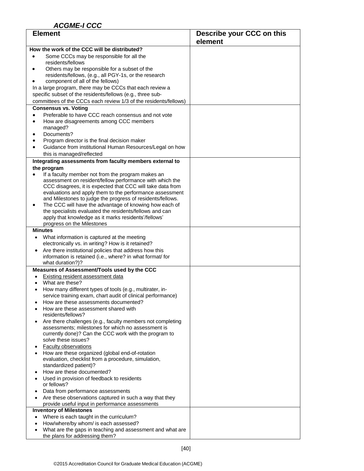| <b>Element</b>                                                                                                                 | Describe your CCC on this |
|--------------------------------------------------------------------------------------------------------------------------------|---------------------------|
|                                                                                                                                | element                   |
| How the work of the CCC will be distributed?                                                                                   |                           |
| Some CCCs may be responsible for all the<br>residents/fellows                                                                  |                           |
| Others may be responsible for a subset of the                                                                                  |                           |
| residents/fellows, (e.g., all PGY-1s, or the research                                                                          |                           |
| component of all of the fellows)                                                                                               |                           |
| In a large program, there may be CCCs that each review a                                                                       |                           |
| specific subset of the residents/fellows (e.g., three sub-<br>committees of the CCCs each review 1/3 of the residents/fellows) |                           |
| <b>Consensus vs. Voting</b>                                                                                                    |                           |
| Preferable to have CCC reach consensus and not vote                                                                            |                           |
| How are disagreements among CCC members<br>$\bullet$                                                                           |                           |
| managed?                                                                                                                       |                           |
| Documents?<br>Program director is the final decision maker                                                                     |                           |
| Guidance from institutional Human Resources/Legal on how                                                                       |                           |
| this is managed/reflected                                                                                                      |                           |
| Integrating assessments from faculty members external to                                                                       |                           |
| the program                                                                                                                    |                           |
| If a faculty member not from the program makes an                                                                              |                           |
| assessment on resident/fellow performance with which the<br>CCC disagrees, it is expected that CCC will take data from         |                           |
| evaluations and apply them to the performance assessment                                                                       |                           |
| and Milestones to judge the progress of residents/fellows.                                                                     |                           |
| The CCC will have the advantage of knowing how each of<br>the specialists evaluated the residents/fellows and can              |                           |
| apply that knowledge as it marks residents'/fellows'                                                                           |                           |
| progress on the Milestones                                                                                                     |                           |
| <b>Minutes</b>                                                                                                                 |                           |
| What information is captured at the meeting                                                                                    |                           |
| electronically vs. in writing? How is it retained?                                                                             |                           |
| Are there institutional policies that address how this<br>information is retained (i.e., where? in what format/ for            |                           |
| what duration?)?                                                                                                               |                           |
| Measures of Assessment/Tools used by the CCC                                                                                   |                           |
| <b>Existing resident assessment data</b>                                                                                       |                           |
| What are these?<br>How many different types of tools (e.g., multirater, in-                                                    |                           |
| service training exam, chart audit of clinical performance)                                                                    |                           |
| How are these assessments documented?                                                                                          |                           |
| How are these assessment shared with                                                                                           |                           |
| residents/fellows?<br>Are there challenges (e.g., faculty members not completing                                               |                           |
| assessments; milestones for which no assessment is                                                                             |                           |
| currently done)? Can the CCC work with the program to                                                                          |                           |
| solve these issues?                                                                                                            |                           |
| <b>Faculty observations</b>                                                                                                    |                           |
| How are these organized (global end-of-rotation<br>evaluation, checklist from a procedure, simulation,                         |                           |
| standardized patient)?                                                                                                         |                           |
| How are these documented?                                                                                                      |                           |
| Used in provision of feedback to residents                                                                                     |                           |
| or fellows?<br>Data from performance assessments                                                                               |                           |
| Are these observations captured in such a way that they                                                                        |                           |
| provide useful input in performance assessments                                                                                |                           |
| <b>Inventory of Milestones</b>                                                                                                 |                           |
| Where is each taught in the curriculum?<br>$\bullet$                                                                           |                           |
| How/where/by whom/ is each assessed?<br>What are the gaps in teaching and assessment and what are                              |                           |
| the plans for addressing them?                                                                                                 |                           |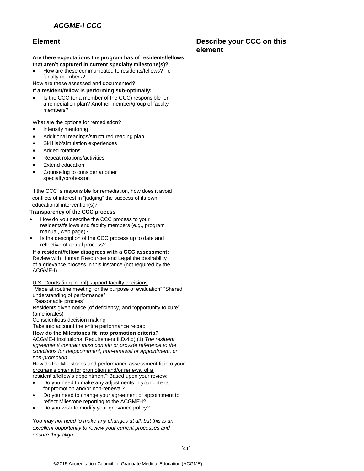| <b>Element</b>                                                                                                                                                                                    | Describe your CCC on this |
|---------------------------------------------------------------------------------------------------------------------------------------------------------------------------------------------------|---------------------------|
|                                                                                                                                                                                                   | element                   |
| Are there expectations the program has of residents/fellows<br>that aren't captured in current specialty milestone(s)?<br>How are these communicated to residents/fellows? To<br>faculty members? |                           |
| How are these assessed and documented?                                                                                                                                                            |                           |
| If a resident/fellow is performing sub-optimally:<br>Is the CCC (or a member of the CCC) responsible for<br>a remediation plan? Another member/group of faculty<br>members?                       |                           |
| What are the options for remediation?<br>Intensify mentoring                                                                                                                                      |                           |
| Additional readings/structured reading plan<br>$\bullet$<br>Skill lab/simulation experiences                                                                                                      |                           |
| Added rotations                                                                                                                                                                                   |                           |
| Repeat rotations/activities                                                                                                                                                                       |                           |
| Extend education<br>Counseling to consider another<br>specialty/profession                                                                                                                        |                           |
| If the CCC is responsible for remediation, how does it avoid<br>conflicts of interest in "judging" the success of its own<br>educational intervention(s)?                                         |                           |
| <b>Transparency of the CCC process</b>                                                                                                                                                            |                           |
| How do you describe the CCC process to your<br>residents/fellows and faculty members (e.g., program<br>manual, web page)?<br>Is the description of the CCC process up to date and<br>$\bullet$    |                           |
| reflective of actual process?                                                                                                                                                                     |                           |
| If a resident/fellow disagrees with a CCC assessment:                                                                                                                                             |                           |
| Review with Human Resources and Legal the desirability<br>of a grievance process in this instance (not required by the<br>ACGME-I)                                                                |                           |
| U.S. Courts (in general) support faculty decisions<br>"Made at routine meeting for the purpose of evaluation" "Shared<br>understanding of performance"<br>"Reasonable process"                    |                           |
| Residents given notice (of deficiency) and "opportunity to cure"<br>(ameliorates)                                                                                                                 |                           |
| Conscientious decision making<br>Take into account the entire performance record                                                                                                                  |                           |
| How do the Milestones fit into promotion criteria?                                                                                                                                                |                           |
| ACGME-I Institutional Requirement II.D.4.d).(1): The resident<br>agreement/contract must contain or provide reference to the<br>conditions for reappointment, non-renewal or appointment, or      |                           |
| non-promotion<br>How do the Milestones and performance assessment fit into your<br>program's criteria for promotion and/or renewal of a                                                           |                           |
| resident's/fellow's appointment? Based upon your review:<br>Do you need to make any adjustments in your criteria<br>for promotion and/or non-renewal?                                             |                           |
| Do you need to change your agreement of appointment to<br>$\bullet$<br>reflect Milestone reporting to the ACGME-I?                                                                                |                           |
| Do you wish to modify your grievance policy?                                                                                                                                                      |                           |
| You may not need to make any changes at all, but this is an<br>excellent opportunity to review your current processes and<br>ensure they align.                                                   |                           |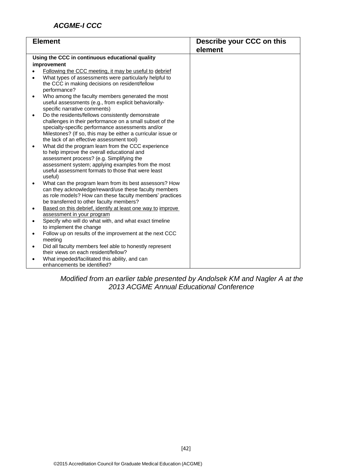| <b>Element</b>                                  |                                                                                                          | Describe your CCC on this |
|-------------------------------------------------|----------------------------------------------------------------------------------------------------------|---------------------------|
|                                                 |                                                                                                          | element                   |
| Using the CCC in continuous educational quality |                                                                                                          |                           |
|                                                 | improvement                                                                                              |                           |
|                                                 | Following the CCC meeting, it may be useful to debrief                                                   |                           |
|                                                 | What types of assessments were particularly helpful to                                                   |                           |
|                                                 | the CCC in making decisions on resident/fellow                                                           |                           |
|                                                 | performance?                                                                                             |                           |
|                                                 | Who among the faculty members generated the most                                                         |                           |
|                                                 | useful assessments (e.g., from explicit behaviorally-<br>specific narrative comments)                    |                           |
|                                                 | Do the residents/fellows consistently demonstrate                                                        |                           |
|                                                 | challenges in their performance on a small subset of the                                                 |                           |
|                                                 | specialty-specific performance assessments and/or                                                        |                           |
|                                                 | Milestones? (If so, this may be either a curricular issue or                                             |                           |
|                                                 | the lack of an effective assessment tool)                                                                |                           |
|                                                 | What did the program learn from the CCC experience                                                       |                           |
|                                                 | to help improve the overall educational and                                                              |                           |
|                                                 | assessment process? (e.g. Simplifying the                                                                |                           |
|                                                 | assessment system; applying examples from the most<br>useful assessment formats to those that were least |                           |
|                                                 | useful)                                                                                                  |                           |
|                                                 | What can the program learn from its best assessors? How                                                  |                           |
|                                                 | can they acknowledge/reward/use these faculty members                                                    |                           |
|                                                 | as role models? How can these faculty members' practices                                                 |                           |
|                                                 | be transferred to other faculty members?                                                                 |                           |
|                                                 | Based on this debrief, identify at least one way to improve                                              |                           |
|                                                 | assessment in your program                                                                               |                           |
|                                                 | Specify who will do what with, and what exact timeline                                                   |                           |
|                                                 | to implement the change                                                                                  |                           |
| $\bullet$                                       | Follow up on results of the improvement at the next CCC<br>meeting                                       |                           |
|                                                 |                                                                                                          |                           |
| $\bullet$                                       | Did all faculty members feel able to honestly represent<br>their views on each resident/fellow?          |                           |
|                                                 | What impeded/facilitated this ability, and can                                                           |                           |
|                                                 | enhancements be identified?                                                                              |                           |

*Modified from an earlier table presented by Andolsek KM and Nagler A at the 2013 ACGME Annual Educational Conference*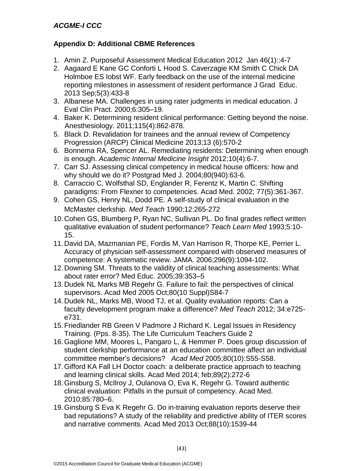# **Appendix D: Additional CBME References**

- 1. Amin Z. Purposeful Assessment Medical Education 2012 Jan 46(1)::4-7
- 2. Aagaard E Kane GC Conforti L Hood S. Caverzagie KM Smith C Chick DA Holmboe ES Iobst WF. Early feedback on the use of the internal medicine reporting milestones in assessment of resident performance J Grad Educ. 2013 Sep;5(3):433-8
- 3. Albanese MA. Challenges in using rater judgments in medical education. J Eval Clin Pract. 2000;6:305–19.
- 4. Baker K. Determining resident clinical performance: Getting beyond the noise. Anesthesiology. 2011;115(4):862-878.
- 5. Black D. Revalidation for trainees and the annual review of Competency Progression (ARCP) Clinical Medicine 2013;13 (6):570-2
- 6. Bonnema RA, Spencer AL. Remediating residents: Determining when enough is enough. *Academic Internal Medicine Insight* 2012;10(4):6-7.
- 7. Carr SJ. Assessing clinical competency in medical house officers: how and why should we do it? Postgrad Med J. 2004;80(940):63-6.
- 8. Carraccio C, Wolfsthal SD, Englander R, Ferentz K, Martin C. Shifting paradigms: From Flexner to competencies. Acad Med. 2002; 77(5):361-367.
- 9. Cohen GS, Henry NL, Dodd PE. A self-study of clinical evaluation in the McMaster clerkship. *Med Teach* 1990;12:265-272
- 10. Cohen GS, Blumberg P, Ryan NC, Sullivan PL. Do final grades reflect written qualitative evaluation of student performance? *Teach Learn Med* 1993;5:10- 15.
- 11. David DA, Mazmanian PE, Fordis M, Van Harrison R, Thorpe KE, Perrier L. Accuracy of physician self-assessment compared with observed measures of competence: A systematic review. JAMA. 2006;296(9):1094-102.
- 12. Downing SM. Threats to the validity of clinical teaching assessments: What about rater error? Med Educ. 2005;39:353–5
- 13. Dudek NL Marks MB Regehr G. Failure to fail: the perspectives of clinical supervisors. Acad Med 2005 Oct;80(10 Suppl)S84-7
- 14. Dudek NL, Marks MB, Wood TJ, et al. Quality evaluation reports: Can a faculty development program make a difference? *Med Teach* 2012; 34:e725 e731.
- 15.Friedlander RB Green V Padmore J Richard K. Legal Issues in Residency Training. (Pps. 8-35). The Life Curriculum Teachers Guide 2
- 16.Gaglione MM, Moores L, Pangaro L, & Hemmer P. Does group discussion of student clerkship performance at an education committee affect an individual committee member's decisions? *Acad Med* 2005;80(10):S55-S58.
- 17.Gifford KA Fall LH Doctor coach: a deliberate practice approach to teaching and learning clinical skills. Acad Med 2014; feb;89(2):272-6
- 18.Ginsburg S, McIlroy J, Oulanova O, Eva K, Regehr G. Toward authentic clinical evaluation: Pitfalls in the pursuit of competency. Acad Med. 2010;85:780–6.
- 19.Ginsburg S Eva K Regehr G. Do in-training evaluation reports deserve their bad reputations? A study of the reliability and predictive ability of ITER scores and narrative comments. Acad Med 2013 Oct;88(10):1539-44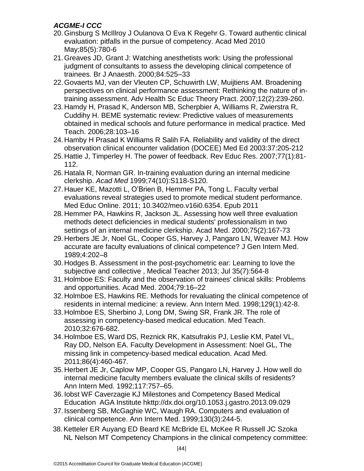- 20. Ginsburg S McIllroy J Oulanova O Eva K Regehr G. Toward authentic clinical evaluation: pitfalls in the pursue of competency. Acad Med 2010 May;85(5):780-6
- 21.Greaves JD, Grant J: Watching anesthetists work: Using the professional judgment of consultants to assess the developing clinical competence of trainees. Br J Anaesth. 2000;84:525–33
- 22.Govaerts MJ, van der Vleuten CP, Schuwirth LW, Muijtiens AM. Broadening perspectives on clinical performance assessment: Rethinking the nature of intraining assessment. Adv Health Sc Educ Theory Pract. 2007;12(2):239-260.
- 23. Hamdy H, Prasad K, Anderson MB, Scherpbier A, Williams R, Zwierstra R, Cuddihy H. BEME systematic review: Predictive values of measurements obtained in medical schools and future performance in medical practice. Med Teach. 2006;28:103–16
- 24. Hamby H Prasad K Williams R Salih FA. Reliability and validity of the direct observation clinical encounter validation (DOCEE) Med Ed 2003:37:205-212
- 25. Hattie J, Timperley H. The power of feedback. Rev Educ Res. 2007;77(1):81- 112.
- 26. Hatala R, Norman GR. In-training evaluation during an internal medicine clerkship. *Acad Med* 1999;74(10):S118-S120.
- 27. Hauer KE, Mazotti L, O'Brien B, Hemmer PA, Tong L. Faculty verbal evaluations reveal strategies used to promote medical student performance. Med Educ Online. 2011; 10.3402/meo.v16i0.6354. Epub 2011
- 28. Hemmer PA, Hawkins R, Jackson JL. Assessing how well three evaluation methods detect deficiencies in medical students' professionalism in two settings of an internal medicine clerkship. Acad Med. 2000;75(2):167-73
- 29. Herbers JE Jr, Noel GL, Cooper GS, Harvey J, Pangaro LN, Weaver MJ. How accurate are faculty evaluations of clinical competence? J Gen Intern Med. 1989;4:202–8
- 30. Hodges B. Assessment in the post-psychometric ear: Learning to love the subjective and collective , Medical Teacher 2013; Jul 35(7):564-8
- 31. Holmboe ES: Faculty and the observation of trainees' clinical skills: Problems and opportunities. Acad Med. 2004;79:16–22
- 32. Holmboe ES, Hawkins RE. Methods for revaluating the clinical competence of residents in internal medicine: a review. Ann Intern Med. 1998;129(1):42-8.
- 33. Holmboe ES, Sherbino J, Long DM, Swing SR, Frank JR. The role of assessing in competency-based medical education. Med Teach. 2010;32:676-682.
- 34. Holmboe ES, Ward DS, Reznick RK, Katsufrakis PJ, Leslie KM, Patel VL, Ray DD, Nelson EA. Faculty Development in Assessment: Noel GL, The missing link in competency-based medical education. Acad Med. 2011;86(4):460-467.
- 35. Herbert JE Jr, Caplow MP, Cooper GS, Pangaro LN, Harvey J. How well do internal medicine faculty members evaluate the clinical skills of residents? Ann Intern Med. 1992;117:757–65.
- 36. Iobst WF Caverzagie KJ Milestones and Competency Based Medical Education AGA Institute hkttp://dx.doi.org/10.1053.j.gastro.2013.09.029
- 37. Issenberg SB, McGaghie WC, Waugh RA. Computers and evaluation of clinical competence. Ann Intern Med. 1999;130(3):244-5.
- 38.Ketteler ER Auyang ED Beard KE McBride EL McKee R Russell JC Szoka NL Nelson MT Competency Champions in the clinical competency committee: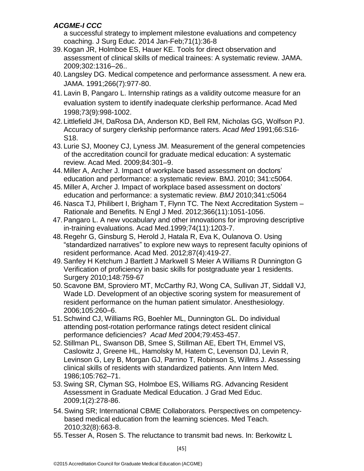a successful strategy to implement milestone evaluations and competency coaching. J Surg Educ. 2014 Jan-Feb;71(1):36-8

- 39.Kogan JR, Holmboe ES, Hauer KE. Tools for direct observation and assessment of clinical skills of medical trainees: A systematic review. JAMA. 2009;302:1316–26..
- 40. Langsley DG. Medical competence and performance assessment. A new era. JAMA. 1991;266(7):977-80.
- 41. Lavin B, Pangaro L. Internship ratings as a validity outcome measure for an evaluation system to identify inadequate clerkship performance. Acad Med 1998;73(9):998-1002.
- 42. Littlefield JH, DaRosa DA, Anderson KD, Bell RM, Nicholas GG, Wolfson PJ. Accuracy of surgery clerkship performance raters. *Acad Med* 1991;66:S16- S18.
- 43. Lurie SJ, Mooney CJ, Lyness JM. Measurement of the general competencies of the accreditation council for graduate medical education: A systematic review. Acad Med. 2009;84:301–9.
- 44. Miller A, Archer J. Impact of workplace based assessment on doctors' education and performance: a systematic review. BMJ. 2010; 341:c5064.
- 45. Miller A, Archer J. Impact of workplace based assessment on doctors' education and performance: a systematic review. *BMJ* 2010;341:c5064
- 46. Nasca TJ, Philibert I, Brigham T, Flynn TC. The Next Accreditation System Rationale and Benefits. N Engl J Med. 2012;366(11):1051-1056.
- 47.Pangaro L. A new vocabulary and other innovations for improving descriptive in-training evaluations. Acad Med.1999;74(11):1203-7.
- 48.Regehr G, Ginsburg S, Herold J, Hatala R, Eva K, Oulanova O. Using "standardized narratives" to explore new ways to represent faculty opinions of resident performance. Acad Med. 2012;87(4):419-27.
- 49.Sanfey H Ketchum J Bartlett J Markwell S Meier A Williams R Dunnington G Verification of proficiency in basic skills for postgraduate year 1 residents. Surgery 2010;148:759-67
- 50.Scavone BM, Sproviero MT, McCarthy RJ, Wong CA, Sullivan JT, Siddall VJ, Wade LD. Development of an objective scoring system for measurement of resident performance on the human patient simulator. Anesthesiology. 2006;105:260–6.
- 51.Schwind CJ, Williams RG, Boehler ML, Dunnington GL. Do individual attending post-rotation performance ratings detect resident clinical performance deficiencies? *Acad Med* 2004;79:453-457.
- 52.Stillman PL, Swanson DB, Smee S, Stillman AE, Ebert TH, Emmel VS, Caslowitz J, Greene HL, Hamolsky M, Hatem C, Levenson DJ, Levin R, Levinson G, Ley B, Morgan GJ, Parrino T, Robinson S, Willms J. Assessing clinical skills of residents with standardized patients. Ann Intern Med. 1986;105:762–71.
- 53.Swing SR, Clyman SG, Holmboe ES, Williams RG. Advancing Resident Assessment in Graduate Medical Education. J Grad Med Educ. 2009;1(2):278-86.
- 54.Swing SR; International CBME Collaborators. Perspectives on competencybased medical education from the learning sciences. Med Teach. 2010;32(8):663-8.
- 55.Tesser A, Rosen S. The reluctance to transmit bad news. In: Berkowitz L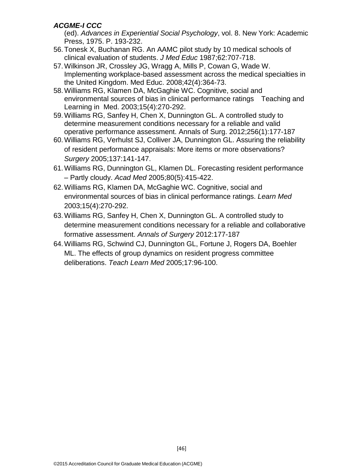(ed). Advances in *Experiential Social Psychology*, vol. 8. New York: Academic Press, 1975. P. 193-232.

- 56.Tonesk X, Buchanan RG. An AAMC pilot study by 10 medical schools of clinical evaluation of students. *J Med Educ* 1987;62:707-718.
- 57.Wilkinson JR, Crossley JG, Wragg A, Mills P, Cowan G, Wade W. Implementing workplace-based assessment across the medical specialties in the United Kingdom. Med Educ. 2008;42(4):364-73.
- 58.Williams RG, Klamen DA, McGaghie WC. Cognitive, social and environmental sources of bias in clinical performance ratings Teaching and Learning in Med. 2003;15(4):270-292.
- 59.Williams RG, Sanfey H, Chen X, Dunnington GL. A controlled study to determine measurement conditions necessary for a reliable and valid operative performance assessment. Annals of Surg. 2012;256(1):177-187
- 60.Williams RG, Verhulst SJ, Colliver JA, Dunnington GL. Assuring the reliability of resident performance appraisals: More items or more observations? *Surgery* 2005;137:141-147.
- 61.Williams RG, Dunnington GL, Klamen DL. Forecasting resident performance – Partly cloudy. *Acad Med* 2005;80(5):415-422.
- 62.Williams RG, Klamen DA, McGaghie WC. Cognitive, social and environmental sources of bias in clinical performance ratings. *Learn Med*  2003;15(4):270-292.
- 63.Williams RG, Sanfey H, Chen X, Dunnington GL. A controlled study to determine measurement conditions necessary for a reliable and collaborative formative assessment. *Annals of Surgery* 2012:177-187
- 64.Williams RG, Schwind CJ, Dunnington GL, Fortune J, Rogers DA, Boehler ML. The effects of group dynamics on resident progress committee deliberations. *Teach Learn Med* 2005;17:96-100.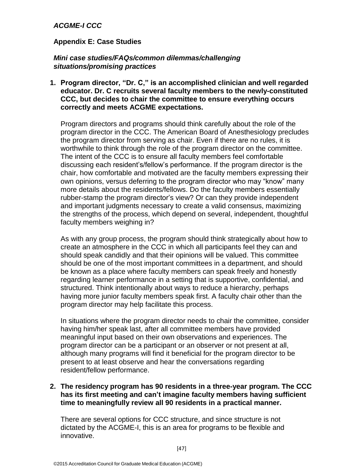#### **Appendix E: Case Studies**

#### *Mini case studies/FAQs/common dilemmas/challenging situations/promising practices*

**1. Program director, "Dr. C," is an accomplished clinician and well regarded educator. Dr. C recruits several faculty members to the newly-constituted CCC, but decides to chair the committee to ensure everything occurs correctly and meets ACGME expectations.**

Program directors and programs should think carefully about the role of the program director in the CCC. The American Board of Anesthesiology precludes the program director from serving as chair. Even if there are no rules, it is worthwhile to think through the role of the program director on the committee. The intent of the CCC is to ensure all faculty members feel comfortable discussing each resident's/fellow's performance. If the program director is the chair, how comfortable and motivated are the faculty members expressing their own opinions, versus deferring to the program director who may "know" many more details about the residents/fellows. Do the faculty members essentially rubber-stamp the program director's view? Or can they provide independent and important judgments necessary to create a valid consensus, maximizing the strengths of the process, which depend on several, independent, thoughtful faculty members weighing in?

As with any group process, the program should think strategically about how to create an atmosphere in the CCC in which all participants feel they can and should speak candidly and that their opinions will be valued. This committee should be one of the most important committees in a department, and should be known as a place where faculty members can speak freely and honestly regarding learner performance in a setting that is supportive, confidential, and structured. Think intentionally about ways to reduce a hierarchy, perhaps having more junior faculty members speak first. A faculty chair other than the program director may help facilitate this process.

In situations where the program director needs to chair the committee, consider having him/her speak last, after all committee members have provided meaningful input based on their own observations and experiences. The program director can be a participant or an observer or not present at all, although many programs will find it beneficial for the program director to be present to at least observe and hear the conversations regarding resident/fellow performance.

#### **2. The residency program has 90 residents in a three-year program. The CCC has its first meeting and can't imagine faculty members having sufficient time to meaningfully review all 90 residents in a practical manner.**

There are several options for CCC structure, and since structure is not dictated by the ACGME-I, this is an area for programs to be flexible and innovative.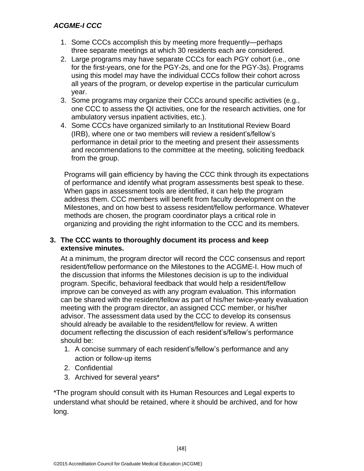- 1. Some CCCs accomplish this by meeting more frequently—perhaps three separate meetings at which 30 residents each are considered.
- 2. Large programs may have separate CCCs for each PGY cohort (i.e., one for the first-years, one for the PGY-2s, and one for the PGY-3s). Programs using this model may have the individual CCCs follow their cohort across all years of the program, or develop expertise in the particular curriculum year.
- 3. Some programs may organize their CCCs around specific activities (e.g., one CCC to assess the QI activities, one for the research activities, one for ambulatory versus inpatient activities, etc.).
- 4. Some CCCs have organized similarly to an Institutional Review Board (IRB), where one or two members will review a resident's/fellow's performance in detail prior to the meeting and present their assessments and recommendations to the committee at the meeting, soliciting feedback from the group.

Programs will gain efficiency by having the CCC think through its expectations of performance and identify what program assessments best speak to these. When gaps in assessment tools are identified, it can help the program address them. CCC members will benefit from faculty development on the Milestones, and on how best to assess resident/fellow performance. Whatever methods are chosen, the program coordinator plays a critical role in organizing and providing the right information to the CCC and its members.

#### **3. The CCC wants to thoroughly document its process and keep extensive minutes.**

At a minimum, the program director will record the CCC consensus and report resident/fellow performance on the Milestones to the ACGME-I. How much of the discussion that informs the Milestones decision is up to the individual program. Specific, behavioral feedback that would help a resident/fellow improve can be conveyed as with any program evaluation. This information can be shared with the resident/fellow as part of his/her twice-yearly evaluation meeting with the program director, an assigned CCC member, or his/her advisor. The assessment data used by the CCC to develop its consensus should already be available to the resident/fellow for review. A written document reflecting the discussion of each resident's/fellow's performance should be:

- 1. A concise summary of each resident's/fellow's performance and any action or follow-up items
- 2. Confidential
- 3. Archived for several years\*

\*The program should consult with its Human Resources and Legal experts to understand what should be retained, where it should be archived, and for how long.